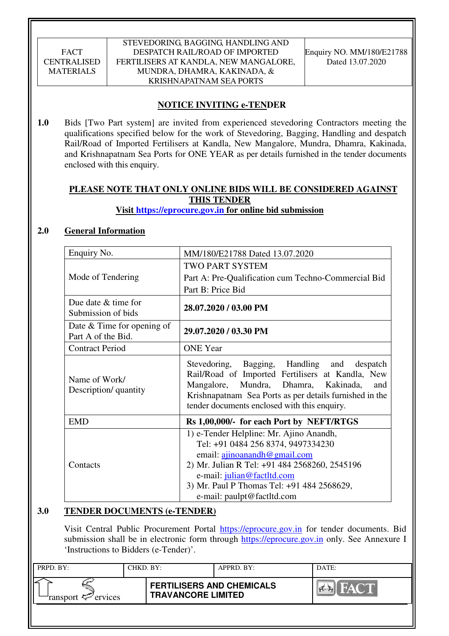STEVEDORING, BAGGING, HANDLING AND DESPATCH RAIL/ROAD OF IMPORTED FERTILISERS AT KANDLA, NEW MANGALORE, MUNDRA, DHAMRA, KAKINADA, & KRISHNAPATNAM SEA PORTS

Enquiry NO. MM/180/E21788 Dated 13.07.2020

# **NOTICE INVITING e-TENDER**

**1.0** Bids [Two Part system] are invited from experienced stevedoring Contractors meeting the qualifications specified below for the work of Stevedoring, Bagging, Handling and despatch Rail/Road of Imported Fertilisers at Kandla, New Mangalore, Mundra, Dhamra, Kakinada, and Krishnapatnam Sea Ports for ONE YEAR as per details furnished in the tender documents enclosed with this enquiry.

### **PLEASE NOTE THAT ONLY ONLINE BIDS WILL BE CONSIDERED AGAINST THIS TENDER Visit https://eprocure.gov.in for online bid submission**

### **2.0 General Information**

| Enquiry No.                                        | MM/180/E21788 Dated 13.07.2020                                                                                                                                                                                                                                                   |
|----------------------------------------------------|----------------------------------------------------------------------------------------------------------------------------------------------------------------------------------------------------------------------------------------------------------------------------------|
|                                                    | TWO PART SYSTEM                                                                                                                                                                                                                                                                  |
| Mode of Tendering                                  | Part A: Pre-Qualification cum Techno-Commercial Bid                                                                                                                                                                                                                              |
|                                                    | Part B: Price Bid                                                                                                                                                                                                                                                                |
| Due date $&$ time for<br>Submission of bids        | 28.07.2020 / 03.00 PM                                                                                                                                                                                                                                                            |
| Date $&$ Time for opening of<br>Part A of the Bid. | 29.07.2020 / 03.30 PM                                                                                                                                                                                                                                                            |
| <b>Contract Period</b>                             | <b>ONE</b> Year                                                                                                                                                                                                                                                                  |
| Name of Work/<br>Description/ quantity             | Stevedoring, Bagging, Handling and despatch<br>Rail/Road of Imported Fertilisers at Kandla, New<br>Mangalore, Mundra, Dhamra, Kakinada,<br>and<br>Krishnapatnam Sea Ports as per details furnished in the<br>tender documents enclosed with this enquiry.                        |
| <b>EMD</b>                                         | Rs 1,00,000/- for each Port by NEFT/RTGS                                                                                                                                                                                                                                         |
| Contacts                                           | 1) e-Tender Helpline: Mr. Ajino Anandh,<br>Tel: +91 0484 256 8374, 9497334230<br>email: $\alpha$ jinoanandh@gmail.com<br>2) Mr. Julian R Tel: +91 484 2568260, 2545196<br>e-mail: julian@factltd.com<br>3) Mr. Paul P Thomas Tel: +91 484 2568629,<br>e-mail: paulpt@factltd.com |

### **3.0 TENDER DOCUMENTS (e-TENDER)**

Visit Central Public Procurement Portal https://eprocure.gov.in for tender documents. Bid submission shall be in electronic form through https://eprocure.gov.in only. See Annexure I 'Instructions to Bidders (e-Tender)'.

| PRPD. BY:                     | CHKD. BY: |                                                               | APPRD. BY: | DATE: |
|-------------------------------|-----------|---------------------------------------------------------------|------------|-------|
| ransport <sup>2</sup> ervices |           | <b>FERTILISERS AND CHEMICALS</b><br><b>TRAVANCORE LIMITED</b> |            | HAC'T |
|                               |           |                                                               |            |       |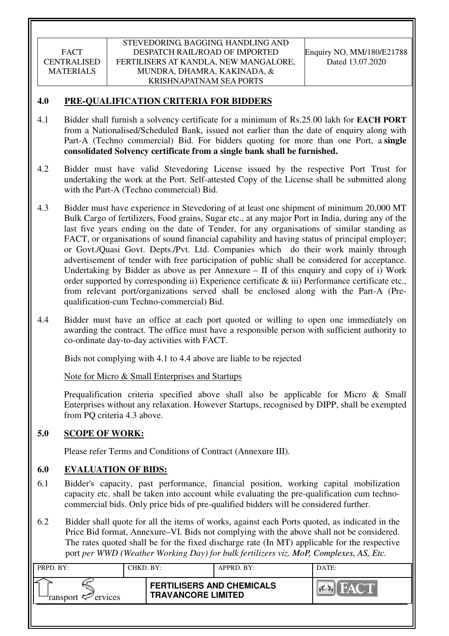#### STEVEDORING, BAGGING, HANDLING AND DESPATCH RAIL/ROAD OF IMPORTED FERTILISERS AT KANDLA, NEW MANGALORE, MUNDRA, DHAMRA, KAKINADA, & KRISHNAPATNAM SEA PORTS

### **4.0 PRE-QUALIFICATION CRITERIA FOR BIDDERS**

- 4.1 Bidder shall furnish a solvency certificate for a minimum of Rs.25.00 lakh for **EACH PORT** from a Nationalised/Scheduled Bank, issued not earlier than the date of enquiry along with Part-A (Techno commercial) Bid. For bidders quoting for more than one Port, a **single consolidated Solvency certificate from a single bank shall be furnished.**
- 4.2 Bidder must have valid Stevedoring License issued by the respective Port Trust for undertaking the work at the Port. Self-attested Copy of the License shall be submitted along with the Part-A (Techno commercial) Bid.
- 4.3 Bidder must have experience in Stevedoring of at least one shipment of minimum 20,000 MT Bulk Cargo of fertilizers, Food grains, Sugar etc., at any major Port in India, during any of the last five years ending on the date of Tender, for any organisations of similar standing as FACT, or organisations of sound financial capability and having status of principal employer; or Govt./Quasi Govt. Depts./Pvt. Ltd. Companies which do their work mainly through advertisement of tender with free participation of public shall be considered for acceptance. Undertaking by Bidder as above as per Annexure – II of this enquiry and copy of i) Work order supported by corresponding ii) Experience certificate & iii) Performance certificate etc., from relevant port/organizations served shall be enclosed along with the Part-A (Prequalification-cum Techno-commercial) Bid.
- 4.4 Bidder must have an office at each port quoted or willing to open one immediately on awarding the contract. The office must have a responsible person with sufficient authority to co-ordinate day-to-day activities with FACT.

Bids not complying with 4.1 to 4.4 above are liable to be rejected

Note for Micro & Small Enterprises and Startups

Prequalification criteria specified above shall also be applicable for Micro & Small Enterprises without any relaxation. However Startups, recognised by DIPP, shall be exempted from PQ criteria 4.3 above.

### **5.0 SCOPE OF WORK:**

Please refer Terms and Conditions of Contract (Annexure III).

### **6.0 EVALUATION OF BIDS:**

- 6.1 Bidder's capacity, past performance, financial position, working capital mobilization capacity etc. shall be taken into account while evaluating the pre-qualification cum technocommercial bids. Only price bids of pre-qualified bidders will be considered further.
- 6.2 Bidder shall quote for all the items of works, against each Ports quoted, as indicated in the Price Bid format, Annexure–VI. Bids not complying with the above shall not be considered. The rates quoted shall be for the fixed discharge rate (In MT) applicable for the respective port *per WWD (Weather Working Day) for bulk fertilizers viz. MoP, Complexes, AS, Etc.*

| PRPD. BY:              | CHKD. BY: |                                                               | APPRD. BY: | DATE:               |
|------------------------|-----------|---------------------------------------------------------------|------------|---------------------|
| ransport $\ll$ ervices |           | <b>FERTILISERS AND CHEMICALS</b><br><b>TRAVANCORE LIMITED</b> |            | HAC'T<br><b>PER</b> |
|                        |           |                                                               |            |                     |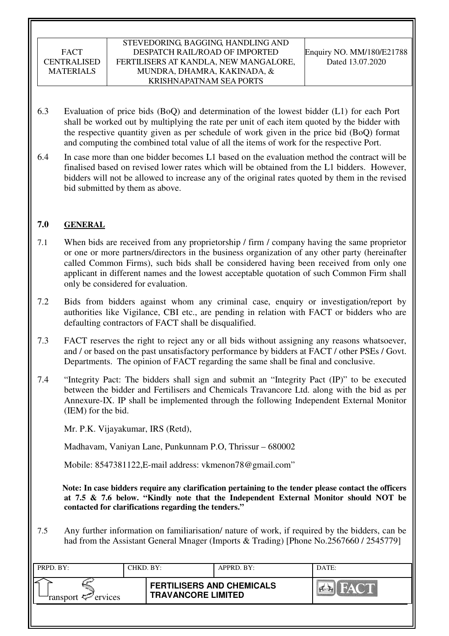#### STEVEDORING, BAGGING, HANDLING AND DESPATCH RAIL/ROAD OF IMPORTED FERTILISERS AT KANDLA, NEW MANGALORE, MUNDRA, DHAMRA, KAKINADA, & KRISHNAPATNAM SEA PORTS

- 6.3 Evaluation of price bids (BoQ) and determination of the lowest bidder (L1) for each Port shall be worked out by multiplying the rate per unit of each item quoted by the bidder with the respective quantity given as per schedule of work given in the price bid (BoQ) format and computing the combined total value of all the items of work for the respective Port.
- 6.4 In case more than one bidder becomes L1 based on the evaluation method the contract will be finalised based on revised lower rates which will be obtained from the L1 bidders. However, bidders will not be allowed to increase any of the original rates quoted by them in the revised bid submitted by them as above.

### **7.0 GENERAL**

- 7.1 When bids are received from any proprietorship / firm / company having the same proprietor or one or more partners/directors in the business organization of any other party (hereinafter called Common Firms), such bids shall be considered having been received from only one applicant in different names and the lowest acceptable quotation of such Common Firm shall only be considered for evaluation.
- 7.2 Bids from bidders against whom any criminal case, enquiry or investigation/report by authorities like Vigilance, CBI etc., are pending in relation with FACT or bidders who are defaulting contractors of FACT shall be disqualified.
- 7.3 FACT reserves the right to reject any or all bids without assigning any reasons whatsoever, and / or based on the past unsatisfactory performance by bidders at FACT / other PSEs / Govt. Departments. The opinion of FACT regarding the same shall be final and conclusive.
- 7.4 "Integrity Pact: The bidders shall sign and submit an "Integrity Pact (IP)" to be executed between the bidder and Fertilisers and Chemicals Travancore Ltd. along with the bid as per Annexure-IX. IP shall be implemented through the following Independent External Monitor (IEM) for the bid.

Mr. P.K. Vijayakumar, IRS (Retd),

Madhavam, Vaniyan Lane, Punkunnam P.O, Thrissur – 680002

Mobile: 8547381122, E-mail address: vkmenon 78@gmail.com"

 **Note: In case bidders require any clarification pertaining to the tender please contact the officers at 7.5 & 7.6 below. "Kindly note that the Independent External Monitor should NOT be contacted for clarifications regarding the tenders."**

7.5 Any further information on familiarisation/ nature of work, if required by the bidders, can be had from the Assistant General Mnager (Imports & Trading) [Phone No.2567660 / 2545779]

| PRPD. BY:                      | CHKD. BY: |                                                               | APPRD. BY: | DATE: |
|--------------------------------|-----------|---------------------------------------------------------------|------------|-------|
| ransport $\mathcal{P}$ ervices |           | <b>FERTILISERS AND CHEMICALS</b><br><b>TRAVANCORE LIMITED</b> |            | HAC'T |
|                                |           |                                                               |            |       |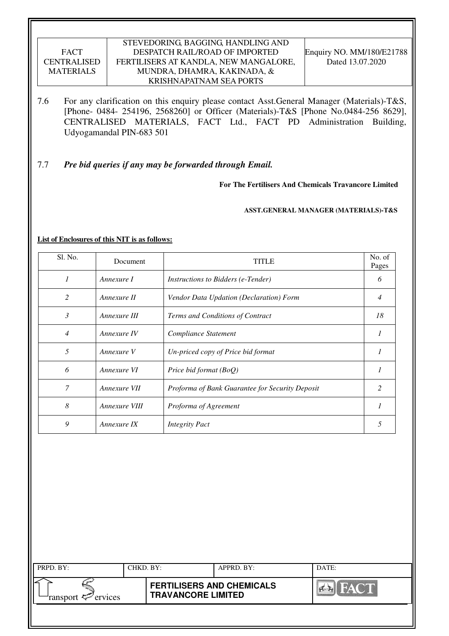#### STEVEDORING, BAGGING, HANDLING AND DESPATCH RAIL/ROAD OF IMPORTED FERTILISERS AT KANDLA, NEW MANGALORE, MUNDRA, DHAMRA, KAKINADA, & KRISHNAPATNAM SEA PORTS

7.6 For any clarification on this enquiry please contact Asst.General Manager (Materials)-T&S, [Phone- 0484- 254196, 2568260] or Officer (Materials)-T&S [Phone No.0484-256 8629], CENTRALISED MATERIALS, FACT Ltd., FACT PD Administration Building, Udyogamandal PIN-683 501

### 7.7 *Pre bid queries if any may be forwarded through Email.*

**For The Fertilisers And Chemicals Travancore Limited** 

 **ASST.GENERAL MANAGER (MATERIALS)-T&S** 

#### **List of Enclosures of this NIT is as follows:**

| Sl. No.        | Document      | <b>TITLE</b>                                    | No. of<br>Pages |
|----------------|---------------|-------------------------------------------------|-----------------|
| $\mathcal I$   | Annexure I    | <i>Instructions to Bidders (e-Tender)</i>       | 6               |
| 2              | Annexure II   | Vendor Data Updation (Declaration) Form         | 4               |
| 3              | Annexure III  | Terms and Conditions of Contract                | 18              |
| $\overline{4}$ | Annexure IV   | Compliance Statement                            | 1               |
| 5              | Annexure V    | Un-priced copy of Price bid format              | 1               |
| 6              | Annexure VI   | Price bid format (BoQ)                          |                 |
| $\overline{7}$ | Annexure VII  | Proforma of Bank Guarantee for Security Deposit | 2               |
| 8              | Annexure VIII | Proforma of Agreement                           |                 |
| 9              | Annexure IX   | <b>Integrity Pact</b>                           | 5               |

| PRPD. BY:              | CHKD. BY: |                                                               | APPRD. BY: | DATE:                     |
|------------------------|-----------|---------------------------------------------------------------|------------|---------------------------|
| ransport $\ll$ ervices |           | <b>FERTILISERS AND CHEMICALS</b><br><b>TRAVANCORE LIMITED</b> |            | <b>FACT</b><br><b>PER</b> |
|                        |           |                                                               |            |                           |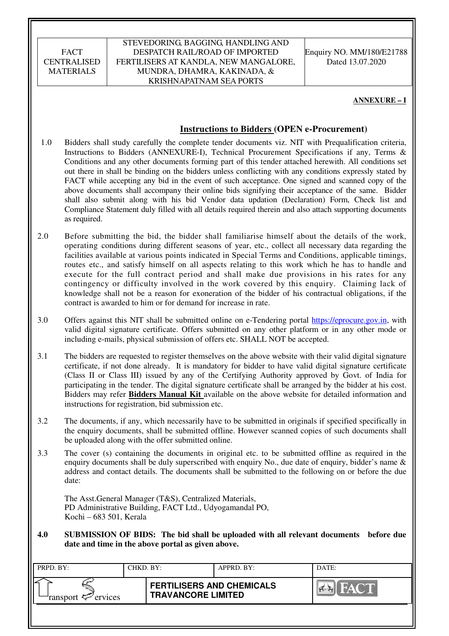#### STEVEDORING, BAGGING, HANDLING AND DESPATCH RAIL/ROAD OF IMPORTED FERTILISERS AT KANDLA, NEW MANGALORE, MUNDRA, DHAMRA, KAKINADA, & KRISHNAPATNAM SEA PORTS

Enquiry NO. MM/180/E21788 Dated 13.07.2020

#### **ANNEXURE – I**

#### **Instructions to Bidders (OPEN e-Procurement)**

- 1.0 Bidders shall study carefully the complete tender documents viz. NIT with Prequalification criteria, Instructions to Bidders (ANNEXURE-I), Technical Procurement Specifications if any, Terms & Conditions and any other documents forming part of this tender attached herewith. All conditions set out there in shall be binding on the bidders unless conflicting with any conditions expressly stated by FACT while accepting any bid in the event of such acceptance. One signed and scanned copy of the above documents shall accompany their online bids signifying their acceptance of the same. Bidder shall also submit along with his bid Vendor data updation (Declaration) Form, Check list and Compliance Statement duly filled with all details required therein and also attach supporting documents as required.
- 2.0 Before submitting the bid, the bidder shall familiarise himself about the details of the work, operating conditions during different seasons of year, etc., collect all necessary data regarding the facilities available at various points indicated in Special Terms and Conditions, applicable timings, routes etc., and satisfy himself on all aspects relating to this work which he has to handle and execute for the full contract period and shall make due provisions in his rates for any contingency or difficulty involved in the work covered by this enquiry. Claiming lack of knowledge shall not be a reason for exoneration of the bidder of his contractual obligations, if the contract is awarded to him or for demand for increase in rate.
- 3.0 Offers against this NIT shall be submitted online on e-Tendering portal https://eprocure.gov.in, with valid digital signature certificate. Offers submitted on any other platform or in any other mode or including e-mails, physical submission of offers etc. SHALL NOT be accepted.
- 3.1 The bidders are requested to register themselves on the above website with their valid digital signature certificate, if not done already. It is mandatory for bidder to have valid digital signature certificate (Class II or Class III) issued by any of the Certifying Authority approved by Govt. of India for participating in the tender. The digital signature certificate shall be arranged by the bidder at his cost. Bidders may refer **Bidders Manual Kit** available on the above website for detailed information and instructions for registration, bid submission etc.
- 3.2 The documents, if any, which necessarily have to be submitted in originals if specified specifically in the enquiry documents, shall be submitted offline. However scanned copies of such documents shall be uploaded along with the offer submitted online.
- 3.3 The cover (s) containing the documents in original etc. to be submitted offline as required in the enquiry documents shall be duly superscribed with enquiry No., due date of enquiry, bidder's name & address and contact details. The documents shall be submitted to the following on or before the due date:

The Asst.General Manager (T&S), Centralized Materials, PD Administrative Building, FACT Ltd., Udyogamandal PO, Kochi – 683 501, Kerala

**4.0 SUBMISSION OF BIDS: The bid shall be uploaded with all relevant documents before due date and time in the above portal as given above.** 

| PRPD. BY:                     | CHKD. BY: |                                                               | APPRD. BY: | DATE: |
|-------------------------------|-----------|---------------------------------------------------------------|------------|-------|
| ransport <sup>2</sup> ervices |           | <b>FERTILISERS AND CHEMICALS</b><br><b>TRAVANCORE LIMITED</b> |            | FACT  |
|                               |           |                                                               |            |       |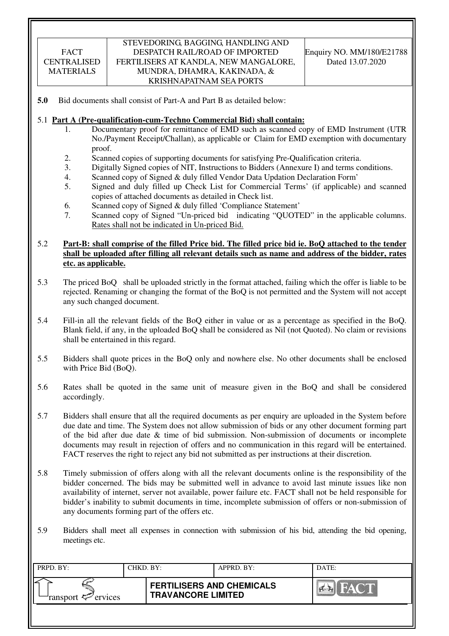### STEVEDORING, BAGGING, HANDLING AND DESPATCH RAIL/ROAD OF IMPORTED FERTILISERS AT KANDLA, NEW MANGALORE, MUNDRA, DHAMRA, KAKINADA, & KRISHNAPATNAM SEA PORTS

**5.0** Bid documents shall consist of Part-A and Part B as detailed below:

#### 5.1 **Part A (Pre-qualification-cum-Techno Commercial Bid) shall contain:**

- 1. Documentary proof for remittance of EMD such as scanned copy of EMD Instrument (UTR No./Payment Receipt/Challan), as applicable or Claim for EMD exemption with documentary proof.
- 2. Scanned copies of supporting documents for satisfying Pre-Qualification criteria.
- 3. Digitally Signed copies of NIT, Instructions to Bidders (Annexure I) and terms conditions.
- 4. Scanned copy of Signed & duly filled Vendor Data Updation Declaration Form'
- 5. Signed and duly filled up Check List for Commercial Terms' (if applicable) and scanned copies of attached documents as detailed in Check list.
- 6. Scanned copy of Signed & duly filled 'Compliance Statement'
- 7. Scanned copy of Signed "Un-priced bid indicating "QUOTED" in the applicable columns. Rates shall not be indicated in Un-priced Bid.

### 5.2 **Part-B: shall comprise of the filled Price bid. The filled price bid ie. BoQ attached to the tender shall be uploaded after filling all relevant details such as name and address of the bidder, rates etc. as applicable.**

- 5.3 The priced BoQ shall be uploaded strictly in the format attached, failing which the offer is liable to be rejected. Renaming or changing the format of the BoQ is not permitted and the System will not accept any such changed document.
- 5.4 Fill-in all the relevant fields of the BoQ either in value or as a percentage as specified in the BoQ. Blank field, if any, in the uploaded BoQ shall be considered as Nil (not Quoted). No claim or revisions shall be entertained in this regard.
- 5.5 Bidders shall quote prices in the BoQ only and nowhere else. No other documents shall be enclosed with Price Bid (BoQ).
- 5.6 Rates shall be quoted in the same unit of measure given in the BoQ and shall be considered accordingly.
- 5.7 Bidders shall ensure that all the required documents as per enquiry are uploaded in the System before due date and time. The System does not allow submission of bids or any other document forming part of the bid after due date  $\&$  time of bid submission. Non-submission of documents or incomplete documents may result in rejection of offers and no communication in this regard will be entertained. FACT reserves the right to reject any bid not submitted as per instructions at their discretion.
- 5.8 Timely submission of offers along with all the relevant documents online is the responsibility of the bidder concerned. The bids may be submitted well in advance to avoid last minute issues like non availability of internet, server not available, power failure etc. FACT shall not be held responsible for bidder's inability to submit documents in time, incomplete submission of offers or non-submission of any documents forming part of the offers etc.
- 5.9 Bidders shall meet all expenses in connection with submission of his bid, attending the bid opening, meetings etc.

| PRPD. BY:              | CHKD. BY: |                                                               | APPRD. BY: | DATE: |
|------------------------|-----------|---------------------------------------------------------------|------------|-------|
| ransport $\ll$ ervices |           | <b>FERTILISERS AND CHEMICALS</b><br><b>TRAVANCORE LIMITED</b> |            | HACT  |
|                        |           |                                                               |            |       |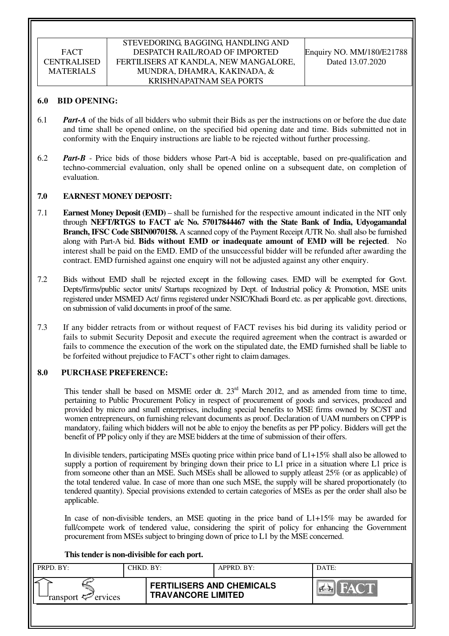#### **6.0 BID OPENING:**

- 6.1 *Part-A* of the bids of all bidders who submit their Bids as per the instructions on or before the due date and time shall be opened online, on the specified bid opening date and time. Bids submitted not in conformity with the Enquiry instructions are liable to be rejected without further processing.
- 6.2 *Part-B* Price bids of those bidders whose Part-A bid is acceptable, based on pre-qualification and techno-commercial evaluation, only shall be opened online on a subsequent date, on completion of evaluation.

#### **7.0 EARNEST MONEY DEPOSIT:**

- 7.1 **Earnest Money Deposit (EMD)** shall be furnished for the respective amount indicated in the NIT only through **NEFT/RTGS to FACT a/c No. 57017844467 with the State Bank of India, Udyogamandal Branch, IFSC Code SBIN0070158.** A scanned copy of the Payment Receipt /UTR No. shall also be furnished along with Part-A bid. **Bids without EMD or inadequate amount of EMD will be rejected**. No interest shall be paid on the EMD. EMD of the unsuccessful bidder will be refunded after awarding the contract. EMD furnished against one enquiry will not be adjusted against any other enquiry.
- 7.2 Bids without EMD shall be rejected except in the following cases. EMD will be exempted for Govt. Depts/firms/public sector units/ Startups recognized by Dept. of Industrial policy & Promotion, MSE units registered under MSMED Act/ firms registered under NSIC/Khadi Board etc. as per applicable govt. directions, on submission of valid documents in proof of the same.
- 7.3 If any bidder retracts from or without request of FACT revises his bid during its validity period or fails to submit Security Deposit and execute the required agreement when the contract is awarded or fails to commence the execution of the work on the stipulated date, the EMD furnished shall be liable to be forfeited without prejudice to FACT's other right to claim damages.

#### **8.0 PURCHASE PREFERENCE:**

This tender shall be based on MSME order dt.  $23<sup>rd</sup>$  March 2012, and as amended from time to time, pertaining to Public Procurement Policy in respect of procurement of goods and services, produced and provided by micro and small enterprises, including special benefits to MSE firms owned by SC/ST and women entrepreneurs, on furnishing relevant documents as proof. Declaration of UAM numbers on CPPP is mandatory, failing which bidders will not be able to enjoy the benefits as per PP policy. Bidders will get the benefit of PP policy only if they are MSE bidders at the time of submission of their offers.

In divisible tenders, participating MSEs quoting price within price band of L1+15% shall also be allowed to supply a portion of requirement by bringing down their price to L1 price in a situation where L1 price is from someone other than an MSE. Such MSEs shall be allowed to supply atleast 25% (or as applicable) of the total tendered value. In case of more than one such MSE, the supply will be shared proportionately (to tendered quantity). Special provisions extended to certain categories of MSEs as per the order shall also be applicable.

In case of non-divisible tenders, an MSE quoting in the price band of L1+15% may be awarded for full/compete work of tendered value, considering the spirit of policy for enhancing the Government procurement from MSEs subject to bringing down of price to L1 by the MSE concerned.

#### **This tender is non-divisible for each port.**

| PRPD. BY:              | CHKD. BY: |                                                               | APPRD. BY: | DATE:                 |
|------------------------|-----------|---------------------------------------------------------------|------------|-----------------------|
| ransport $\ll$ ervices |           | <b>FERTILISERS AND CHEMICALS</b><br><b>TRAVANCORE LIMITED</b> |            | <b>FACT</b><br>$\sim$ |
|                        |           |                                                               |            |                       |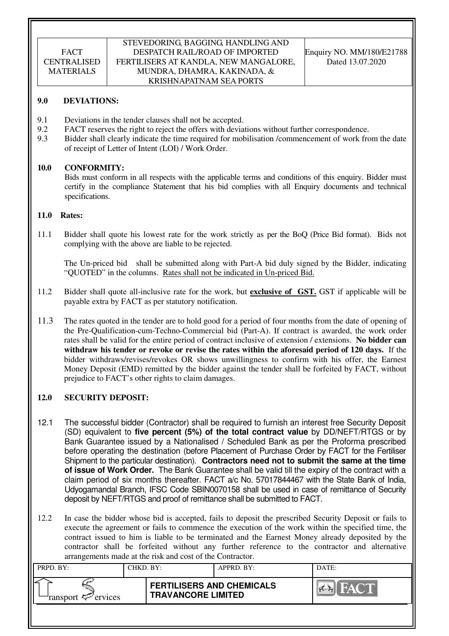#### STEVEDORING, BAGGING, HANDLING AND DESPATCH RAIL/ROAD OF IMPORTED FERTILISERS AT KANDLA, NEW MANGALORE, MUNDRA, DHAMRA, KAKINADA, & KRISHNAPATNAM SEA PORTS

#### **9.0 DEVIATIONS:**

- 9.1 Deviations in the tender clauses shall not be accepted.
- 9.2 FACT reserves the right to reject the offers with deviations without further correspondence.
- 9.3 Bidder shall clearly indicate the time required for mobilisation /commencement of work from the date of receipt of Letter of Intent (LOI) / Work Order.

#### **10.0 CONFORMITY:**

Bids must conform in all respects with the applicable terms and conditions of this enquiry. Bidder must certify in the compliance Statement that his bid complies with all Enquiry documents and technical specifications.

#### **11.0 Rates:**

11.1 Bidder shall quote his lowest rate for the work strictly as per the BoQ (Price Bid format). Bids not complying with the above are liable to be rejected.

The Un-priced bid shall be submitted along with Part-A bid duly signed by the Bidder, indicating "QUOTED" in the columns. Rates shall not be indicated in Un-priced Bid.

- 11.2 Bidder shall quote all-inclusive rate for the work, but **exclusive of GST.** GST if applicable will be payable extra by FACT as per statutory notification.
- 11.3 The rates quoted in the tender are to hold good for a period of four months from the date of opening of the Pre-Qualification-cum-Techno-Commercial bid (Part-A). If contract is awarded, the work order rates shall be valid for the entire period of contract inclusive of extension / extensions. **No bidder can withdraw his tender or revoke or revise the rates within the aforesaid period of 120 days.** If the bidder withdraws/revises/revokes OR shows unwillingness to confirm with his offer, the Earnest Money Deposit (EMD) remitted by the bidder against the tender shall be forfeited by FACT, without prejudice to FACT's other rights to claim damages.

### **12.0 SECURITY DEPOSIT:**

- 12.1 The successful bidder (Contractor) shall be required to furnish an interest free Security Deposit (SD) equivalent to **five percent (5%) of the total contract value** by DD/NEFT/RTGS or by Bank Guarantee issued by a Nationalised / Scheduled Bank as per the Proforma prescribed before operating the destination (before Placement of Purchase Order by FACT for the Fertiliser Shipment to the particular destination). **Contractors need not to submit the same at the time of issue of Work Order.** The Bank Guarantee shall be valid till the expiry of the contract with a claim period of six months thereafter. FACT a/c No. 57017844467 with the State Bank of India, Udyogamandal Branch, IFSC Code SBIN0070158 shall be used in case of remittance of Security deposit by NEFT/RTGS and proof of remittance shall be submitted to FACT.
- 12.2 In case the bidder whose bid is accepted, fails to deposit the prescribed Security Deposit or fails to execute the agreement or fails to commence the execution of the work within the specified time, the contract issued to him is liable to be terminated and the Earnest Money already deposited by the contractor shall be forfeited without any further reference to the contractor and alternative arrangements made at the risk and cost of the Contractor.

| PRPD. BY:              | CHKD. BY: |                                                               | APPRD. BY: | DATE:       |
|------------------------|-----------|---------------------------------------------------------------|------------|-------------|
| ransport $\ll$ ervices |           | <b>FERTILISERS AND CHEMICALS</b><br><b>TRAVANCORE LIMITED</b> |            | <b>FACT</b> |
|                        |           |                                                               |            |             |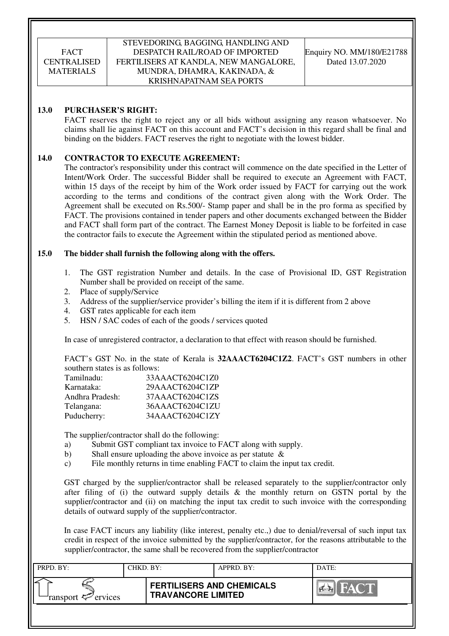#### STEVEDORING, BAGGING, HANDLING AND DESPATCH RAIL/ROAD OF IMPORTED FERTILISERS AT KANDLA, NEW MANGALORE, MUNDRA, DHAMRA, KAKINADA, & KRISHNAPATNAM SEA PORTS

#### **13.0 PURCHASER'S RIGHT:**

 FACT reserves the right to reject any or all bids without assigning any reason whatsoever. No claims shall lie against FACT on this account and FACT's decision in this regard shall be final and binding on the bidders. FACT reserves the right to negotiate with the lowest bidder.

#### **14.0 CONTRACTOR TO EXECUTE AGREEMENT:**

 The contractor's responsibility under this contract will commence on the date specified in the Letter of Intent/Work Order. The successful Bidder shall be required to execute an Agreement with FACT, within 15 days of the receipt by him of the Work order issued by FACT for carrying out the work according to the terms and conditions of the contract given along with the Work Order. The Agreement shall be executed on Rs.500/- Stamp paper and shall be in the pro forma as specified by FACT. The provisions contained in tender papers and other documents exchanged between the Bidder and FACT shall form part of the contract. The Earnest Money Deposit is liable to be forfeited in case the contractor fails to execute the Agreement within the stipulated period as mentioned above.

#### **15.0 The bidder shall furnish the following along with the offers.**

- 1. The GST registration Number and details. In the case of Provisional ID, GST Registration Number shall be provided on receipt of the same.
- 2. Place of supply/Service
- 3. Address of the supplier/service provider's billing the item if it is different from 2 above
- 4. GST rates applicable for each item
- 5. HSN / SAC codes of each of the goods / services quoted

In case of unregistered contractor, a declaration to that effect with reason should be furnished.

FACT's GST No. in the state of Kerala is **32AAACT6204C1Z2**. FACT's GST numbers in other southern states is as follows:

| 33AAACT6204C1Z0 |
|-----------------|
| 29AAACT6204C1ZP |
| 37AAACT6204C1ZS |
| 36AAACT6204C1ZU |
| 34AAACT6204C1ZY |
|                 |

The supplier/contractor shall do the following:

- a) Submit GST compliant tax invoice to FACT along with supply.
- b) Shall ensure uploading the above invoice as per statute &
- c) File monthly returns in time enabling FACT to claim the input tax credit.

GST charged by the supplier/contractor shall be released separately to the supplier/contractor only after filing of (i) the outward supply details  $\&$  the monthly return on GSTN portal by the supplier/contractor and (ii) on matching the input tax credit to such invoice with the corresponding details of outward supply of the supplier/contractor.

In case FACT incurs any liability (like interest, penalty etc.,) due to denial/reversal of such input tax credit in respect of the invoice submitted by the supplier/contractor, for the reasons attributable to the supplier/contractor, the same shall be recovered from the supplier/contractor

| PRPD. BY:                     | CHKD. BY: |                                                               | APPRD. BY: | DATE:                 |
|-------------------------------|-----------|---------------------------------------------------------------|------------|-----------------------|
| ransport <sup>2</sup> ervices |           | <b>FERTILISERS AND CHEMICALS</b><br><b>TRAVANCORE LIMITED</b> |            | FACT<br>$\sim$ $\sim$ |
|                               |           |                                                               |            |                       |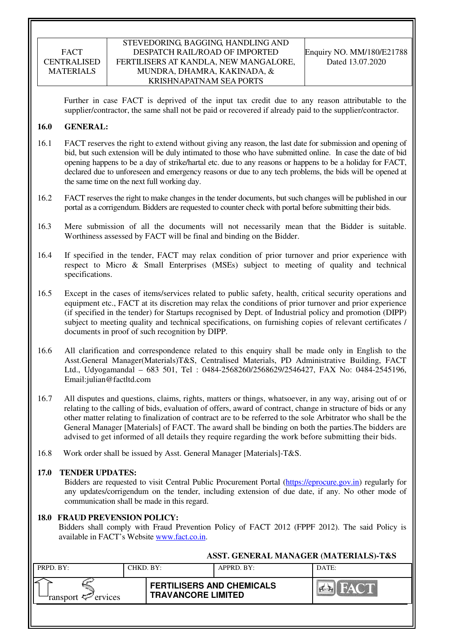#### STEVEDORING, BAGGING, HANDLING AND DESPATCH RAIL/ROAD OF IMPORTED FERTILISERS AT KANDLA, NEW MANGALORE, MUNDRA, DHAMRA, KAKINADA, & KRISHNAPATNAM SEA PORTS

Further in case FACT is deprived of the input tax credit due to any reason attributable to the supplier/contractor, the same shall not be paid or recovered if already paid to the supplier/contractor.

#### **16.0 GENERAL:**

- 16.1 FACT reserves the right to extend without giving any reason, the last date for submission and opening of bid, but such extension will be duly intimated to those who have submitted online. In case the date of bid opening happens to be a day of strike/hartal etc. due to any reasons or happens to be a holiday for FACT, declared due to unforeseen and emergency reasons or due to any tech problems, the bids will be opened at the same time on the next full working day.
- 16.2 FACT reserves the right to make changes in the tender documents, but such changes will be published in our portal as a corrigendum. Bidders are requested to counter check with portal before submitting their bids.
- 16.3 Mere submission of all the documents will not necessarily mean that the Bidder is suitable. Worthiness assessed by FACT will be final and binding on the Bidder.
- 16.4 If specified in the tender, FACT may relax condition of prior turnover and prior experience with respect to Micro & Small Enterprises (MSEs) subject to meeting of quality and technical specifications.
- 16.5 Except in the cases of items/services related to public safety, health, critical security operations and equipment etc., FACT at its discretion may relax the conditions of prior turnover and prior experience (if specified in the tender) for Startups recognised by Dept. of Industrial policy and promotion (DIPP) subject to meeting quality and technical specifications, on furnishing copies of relevant certificates / documents in proof of such recognition by DIPP.
- 16.6 All clarification and correspondence related to this enquiry shall be made only in English to the Asst.General Manager(Materials)T&S, Centralised Materials, PD Administrative Building, FACT Ltd., Udyogamandal – 683 501, Tel : 0484-2568260/2568629/2546427, FAX No: 0484-2545196, Email:julian@factltd.com
- 16.7 All disputes and questions, claims, rights, matters or things, whatsoever, in any way, arising out of or relating to the calling of bids, evaluation of offers, award of contract, change in structure of bids or any other matter relating to finalization of contract are to be referred to the sole Arbitrator who shall be the General Manager [Materials] of FACT. The award shall be binding on both the parties.The bidders are advised to get informed of all details they require regarding the work before submitting their bids.
- 16.8 Work order shall be issued by Asst. General Manager [Materials]-T&S.

### **17.0 TENDER UPDATES:**

Bidders are requested to visit Central Public Procurement Portal (https://eprocure.gov.in) regularly for any updates/corrigendum on the tender, including extension of due date, if any. No other mode of communication shall be made in this regard.

### **18.0 FRAUD PREVENSION POLICY:**

Bidders shall comply with Fraud Prevention Policy of FACT 2012 (FPPF 2012). The said Policy is available in FACT's Website www.fact.co.in.

|                                | ASST. GENERAL MANAGER (MATERIALS)-T&S |                                                               |            |       |  |  |  |
|--------------------------------|---------------------------------------|---------------------------------------------------------------|------------|-------|--|--|--|
| PRPD. BY:                      | CHKD. BY:                             |                                                               | APPRD. BY: | DATE: |  |  |  |
| ransport $\mathcal{P}$ ervices |                                       | <b>FERTILISERS AND CHEMICALS</b><br><b>TRAVANCORE LIMITED</b> |            | FACT  |  |  |  |
|                                |                                       |                                                               |            |       |  |  |  |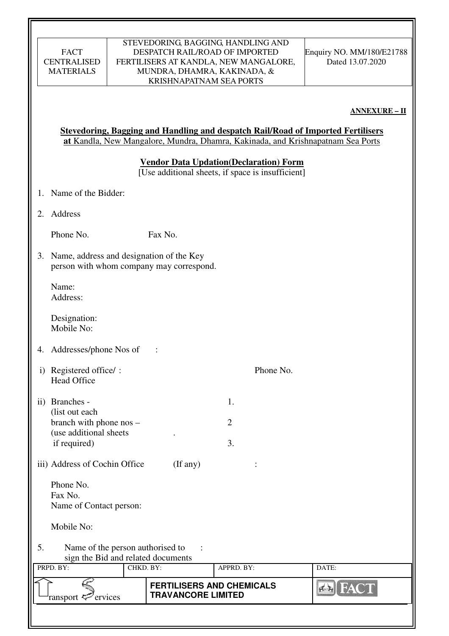| FACT               |
|--------------------|
| <b>CENTRALISED</b> |
| <b>MATERIALS</b>   |

### STEVEDORING, BAGGING, HANDLING AND DESPATCH RAIL/ROAD OF IMPORTED FERTILISERS AT KANDLA, NEW MANGALORE, MUNDRA, DHAMRA, KAKINADA, & KRISHNAPATNAM SEA PORTS

**ANNEXURE – II** 

|                                                                                                | <b>Stevedoring, Bagging and Handling and despatch Rail/Road of Imported Fertilisers</b><br>at Kandla, New Mangalore, Mundra, Dhamra, Kakinada, and Krishnapatnam Sea Ports |                                          |                |       |  |  |  |  |
|------------------------------------------------------------------------------------------------|----------------------------------------------------------------------------------------------------------------------------------------------------------------------------|------------------------------------------|----------------|-------|--|--|--|--|
|                                                                                                | <b>Vendor Data Updation (Declaration) Form</b><br>[Use additional sheets, if space is insufficient]                                                                        |                                          |                |       |  |  |  |  |
|                                                                                                | 1. Name of the Bidder:                                                                                                                                                     |                                          |                |       |  |  |  |  |
| 2.                                                                                             | Address                                                                                                                                                                    |                                          |                |       |  |  |  |  |
|                                                                                                | Phone No.                                                                                                                                                                  | Fax No.                                  |                |       |  |  |  |  |
|                                                                                                | 3. Name, address and designation of the Key                                                                                                                                | person with whom company may correspond. |                |       |  |  |  |  |
|                                                                                                | Name:<br>Address:                                                                                                                                                          |                                          |                |       |  |  |  |  |
|                                                                                                | Designation:<br>Mobile No:                                                                                                                                                 |                                          |                |       |  |  |  |  |
| 4.                                                                                             | Addresses/phone Nos of                                                                                                                                                     |                                          |                |       |  |  |  |  |
| $\rm i)$                                                                                       | Registered office/:<br><b>Head Office</b>                                                                                                                                  |                                          | Phone No.      |       |  |  |  |  |
|                                                                                                | ii) Branches -                                                                                                                                                             |                                          | 1.             |       |  |  |  |  |
|                                                                                                | (list out each<br>branch with phone nos -                                                                                                                                  |                                          | $\overline{2}$ |       |  |  |  |  |
|                                                                                                | (use additional sheets)<br>if required)                                                                                                                                    |                                          | 3.             |       |  |  |  |  |
|                                                                                                | iii) Address of Cochin Office                                                                                                                                              | $($ If any $)$                           |                |       |  |  |  |  |
|                                                                                                | Phone No.                                                                                                                                                                  |                                          |                |       |  |  |  |  |
|                                                                                                | Fax No.<br>Name of Contact person:                                                                                                                                         |                                          |                |       |  |  |  |  |
|                                                                                                | Mobile No:                                                                                                                                                                 |                                          |                |       |  |  |  |  |
| 5.                                                                                             | Name of the person authorised to<br>sign the Bid and related documents                                                                                                     |                                          |                |       |  |  |  |  |
|                                                                                                | PRPD. BY:                                                                                                                                                                  | CHKD. BY:                                | APPRD. BY:     | DATE: |  |  |  |  |
| <b>FERTILISERS AND CHEMICALS</b><br><b>TRAVANCORE LIMITED</b><br>ransport <sup>2</sup> ervices |                                                                                                                                                                            |                                          |                |       |  |  |  |  |
|                                                                                                |                                                                                                                                                                            |                                          |                |       |  |  |  |  |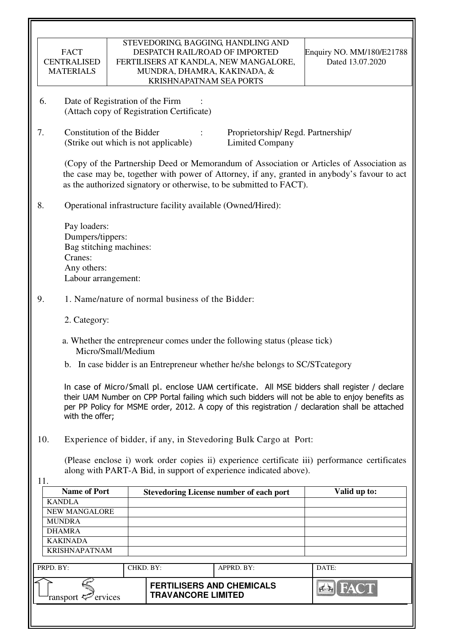|           | <b>FACT</b><br><b>CENTRALISED</b><br><b>MATERIALS</b>                                                                                                                                                                                                                                                                 |                    |                           |  | STEVEDORING, BAGGING, HANDLING AND<br>DESPATCH RAIL/ROAD OF IMPORTED<br>FERTILISERS AT KANDLA, NEW MANGALORE,<br>MUNDRA, DHAMRA, KAKINADA, & |  | Enquiry NO. MM/180/E21788<br>Dated 13.07.2020                                                                                                                                            |  |
|-----------|-----------------------------------------------------------------------------------------------------------------------------------------------------------------------------------------------------------------------------------------------------------------------------------------------------------------------|--------------------|---------------------------|--|----------------------------------------------------------------------------------------------------------------------------------------------|--|------------------------------------------------------------------------------------------------------------------------------------------------------------------------------------------|--|
| 6.        | <b>KRISHNAPATNAM SEA PORTS</b><br>Date of Registration of the Firm<br>(Attach copy of Registration Certificate)                                                                                                                                                                                                       |                    |                           |  |                                                                                                                                              |  |                                                                                                                                                                                          |  |
| 7.        | Constitution of the Bidder<br>Proprietorship/Regd. Partnership/<br>(Strike out which is not applicable)<br><b>Limited Company</b>                                                                                                                                                                                     |                    |                           |  |                                                                                                                                              |  |                                                                                                                                                                                          |  |
|           |                                                                                                                                                                                                                                                                                                                       |                    |                           |  | as the authorized signatory or otherwise, to be submitted to FACT).                                                                          |  | (Copy of the Partnership Deed or Memorandum of Association or Articles of Association as<br>the case may be, together with power of Attorney, if any, granted in anybody's favour to act |  |
| 8.        |                                                                                                                                                                                                                                                                                                                       |                    |                           |  | Operational infrastructure facility available (Owned/Hired):                                                                                 |  |                                                                                                                                                                                          |  |
|           | Pay loaders:<br>Dumpers/tippers:<br>Bag stitching machines:<br>Cranes:<br>Any others:<br>Labour arrangement:                                                                                                                                                                                                          |                    |                           |  |                                                                                                                                              |  |                                                                                                                                                                                          |  |
| 9.        | 1. Name/nature of normal business of the Bidder:                                                                                                                                                                                                                                                                      |                    |                           |  |                                                                                                                                              |  |                                                                                                                                                                                          |  |
|           | 2. Category:                                                                                                                                                                                                                                                                                                          |                    |                           |  |                                                                                                                                              |  |                                                                                                                                                                                          |  |
|           |                                                                                                                                                                                                                                                                                                                       | Micro/Small/Medium |                           |  | a. Whether the entrepreneur comes under the following status (please tick)                                                                   |  |                                                                                                                                                                                          |  |
|           |                                                                                                                                                                                                                                                                                                                       |                    |                           |  | b. In case bidder is an Entrepreneur whether he/she belongs to SC/ST category                                                                |  |                                                                                                                                                                                          |  |
|           | In case of Micro/Small pl. enclose UAM certificate. All MSE bidders shall register / declare<br>their UAM Number on CPP Portal failing which such bidders will not be able to enjoy benefits as<br>per PP Policy for MSME order, 2012. A copy of this registration / declaration shall be attached<br>with the offer; |                    |                           |  |                                                                                                                                              |  |                                                                                                                                                                                          |  |
| 10.       |                                                                                                                                                                                                                                                                                                                       |                    |                           |  | Experience of bidder, if any, in Stevedoring Bulk Cargo at Port:                                                                             |  |                                                                                                                                                                                          |  |
| 11.       |                                                                                                                                                                                                                                                                                                                       |                    |                           |  | along with PART-A Bid, in support of experience indicated above).                                                                            |  | (Please enclose i) work order copies ii) experience certificate iii) performance certificates                                                                                            |  |
|           | <b>Name of Port</b>                                                                                                                                                                                                                                                                                                   |                    |                           |  | <b>Stevedoring License number of each port</b>                                                                                               |  | Valid up to:                                                                                                                                                                             |  |
|           | <b>KANDLA</b><br>NEW MANGALORE                                                                                                                                                                                                                                                                                        |                    |                           |  |                                                                                                                                              |  |                                                                                                                                                                                          |  |
|           | <b>MUNDRA</b>                                                                                                                                                                                                                                                                                                         |                    |                           |  |                                                                                                                                              |  |                                                                                                                                                                                          |  |
|           | <b>DHAMRA</b>                                                                                                                                                                                                                                                                                                         |                    |                           |  |                                                                                                                                              |  |                                                                                                                                                                                          |  |
|           | <b>KAKINADA</b>                                                                                                                                                                                                                                                                                                       |                    |                           |  |                                                                                                                                              |  |                                                                                                                                                                                          |  |
|           | <b>KRISHNAPATNAM</b>                                                                                                                                                                                                                                                                                                  |                    |                           |  |                                                                                                                                              |  |                                                                                                                                                                                          |  |
| PRPD. BY: |                                                                                                                                                                                                                                                                                                                       | CHKD. BY:          |                           |  | APPRD. BY:                                                                                                                                   |  | DATE:                                                                                                                                                                                    |  |
|           | ransport <sup>2</sup> ervices                                                                                                                                                                                                                                                                                         |                    | <b>TRAVANCORE LIMITED</b> |  | <b>FERTILISERS AND CHEMICALS</b>                                                                                                             |  |                                                                                                                                                                                          |  |
|           |                                                                                                                                                                                                                                                                                                                       |                    |                           |  |                                                                                                                                              |  |                                                                                                                                                                                          |  |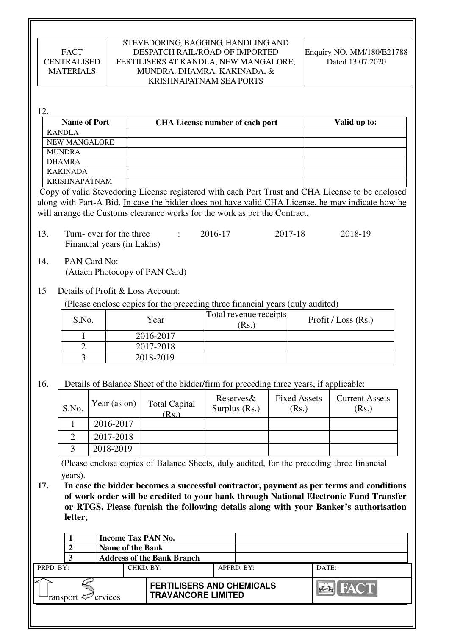#### STEVEDORING, BAGGING, HANDLING AND DESPATCH RAIL/ROAD OF IMPORTED FERTILISERS AT KANDLA, NEW MANGALORE, MUNDRA, DHAMRA, KAKINADA, & KRISHNAPATNAM SEA PORTS

Enquiry NO. MM/180/E21788 Dated 13.07.2020

12.

| <b>Name of Port</b>  | <b>CHA License number of each port</b> | Valid up to: |
|----------------------|----------------------------------------|--------------|
| <b>KANDLA</b>        |                                        |              |
| <b>NEW MANGALORE</b> |                                        |              |
| <b>MUNDRA</b>        |                                        |              |
| <b>DHAMRA</b>        |                                        |              |
| <b>KAKINADA</b>      |                                        |              |
| <b>KRISHNAPATNAM</b> |                                        |              |

Copy of valid Stevedoring License registered with each Port Trust and CHA License to be enclosed along with Part-A Bid. In case the bidder does not have valid CHA License, he may indicate how he will arrange the Customs clearance works for the work as per the Contract.

13. Turn- over for the three : 2016-17 2017-18 2018-19 Financial years (in Lakhs)

14. PAN Card No: (Attach Photocopy of PAN Card)

### 15 Details of Profit & Loss Account:

(Please enclose copies for the preceding three financial years (duly audited)

| S.No. | Year      | Total revenue receipts<br>(Rs.) | Profit / Loss $(Rs.)$ |
|-------|-----------|---------------------------------|-----------------------|
|       | 2016-2017 |                                 |                       |
|       | 2017-2018 |                                 |                       |
|       | 2018-2019 |                                 |                       |

16. Details of Balance Sheet of the bidder/firm for preceding three years, if applicable:

| S.No. | Year (as on) $\vert$ | <b>Total Capital</b><br>(Rs.) | Reserves&<br>Surplus $(Rs.)$ | <b>Fixed Assets</b><br>(Rs.) | <b>Current Assets</b><br>(Rs.) |
|-------|----------------------|-------------------------------|------------------------------|------------------------------|--------------------------------|
|       | 2016-2017            |                               |                              |                              |                                |
|       | 2017-2018            |                               |                              |                              |                                |
|       | 2018-2019            |                               |                              |                              |                                |

 (Please enclose copies of Balance Sheets, duly audited, for the preceding three financial years).

**17. In case the bidder becomes a successful contractor, payment as per terms and conditions of work order will be credited to your bank through National Electronic Fund Transfer or RTGS. Please furnish the following details along with your Banker's authorisation letter,** 

|                            |  | <b>Name of the Bank</b> |                                                               | <b>Income Tax PAN No.</b> |            |                        |  |
|----------------------------|--|-------------------------|---------------------------------------------------------------|---------------------------|------------|------------------------|--|
|                            |  |                         | <b>Address of the Bank Branch</b>                             |                           |            |                        |  |
| PRPD. BY:<br>CHKD. BY:     |  |                         |                                                               |                           | APPRD. BY: | DATE:                  |  |
| ervices<br>ransport $\leq$ |  |                         | <b>FERTILISERS AND CHEMICALS</b><br><b>TRAVANCORE LIMITED</b> |                           |            | <b>IFACT</b><br>$\sim$ |  |
|                            |  |                         |                                                               |                           |            |                        |  |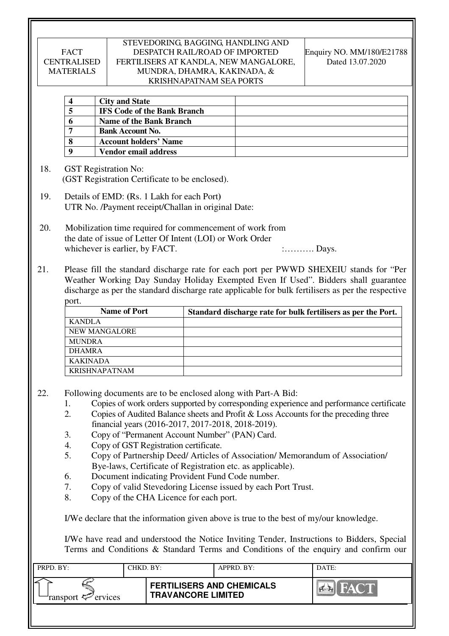#### STEVEDORING, BAGGING, HANDLING AND DESPATCH RAIL/ROAD OF IMPORTED FERTILISERS AT KANDLA, NEW MANGALORE, MUNDRA, DHAMRA, KAKINADA, & KRISHNAPATNAM SEA PORTS

Enquiry NO. MM/180/E21788 Dated 13.07.2020

|   | <b>City and State</b>              |  |
|---|------------------------------------|--|
| ວ | <b>IFS Code of the Bank Branch</b> |  |
|   | Name of the Bank Branch            |  |
|   | <b>Bank Account No.</b>            |  |
| 8 | <b>Account holders' Name</b>       |  |
|   | Vendor email address               |  |

- 18. GST Registration No: (GST Registration Certificate to be enclosed).
- 19. Details of EMD: **(**Rs. 1 Lakh for each Port**)**  UTR No. /Payment receipt/Challan in original Date:
- 20. Mobilization time required for commencement of work from the date of issue of Letter Of Intent (LOI) or Work Order whichever is earlier, by FACT.  $\ldots$  : Days.
- 21. Please fill the standard discharge rate for each port per PWWD SHEXEIU stands for "Per Weather Working Day Sunday Holiday Exempted Even If Used". Bidders shall guarantee discharge as per the standard discharge rate applicable for bulk fertilisers as per the respective port.

| <b>Name of Port</b>  | Standard discharge rate for bulk fertilisers as per the Port. |
|----------------------|---------------------------------------------------------------|
| <b>KANDLA</b>        |                                                               |
| <b>NEW MANGALORE</b> |                                                               |
| <b>MUNDRA</b>        |                                                               |
| <b>DHAMRA</b>        |                                                               |
| <b>KAKINADA</b>      |                                                               |
| KRISHNAPATNAM        |                                                               |

- 22. Following documents are to be enclosed along with Part-A Bid:
	- 1. Copies of work orders supported by corresponding experience and performance certificate
	- 2. Copies of Audited Balance sheets and Profit & Loss Accounts for the preceding three financial years (2016-2017, 2017-2018, 2018-2019).
	- 3. Copy of "Permanent Account Number" (PAN) Card.
	- 4. Copy of GST Registration certificate.
	- 5. Copy of Partnership Deed/ Articles of Association/ Memorandum of Association/ Bye-laws, Certificate of Registration etc. as applicable).
	- 6. Document indicating Provident Fund Code number.
	- 7. Copy of valid Stevedoring License issued by each Port Trust.
	- 8. Copy of the CHA Licence for each port.

I/We declare that the information given above is true to the best of my/our knowledge.

 I/We have read and understood the Notice Inviting Tender, Instructions to Bidders, Special Terms and Conditions & Standard Terms and Conditions of the enquiry and confirm our

| PRPD. BY:              | CHKD. BY: |                                                               | APPRD. BY: | DATE: |
|------------------------|-----------|---------------------------------------------------------------|------------|-------|
| ransport $\ll$ ervices |           | <b>FERTILISERS AND CHEMICALS</b><br><b>TRAVANCORE LIMITED</b> |            | FACT  |
|                        |           |                                                               |            |       |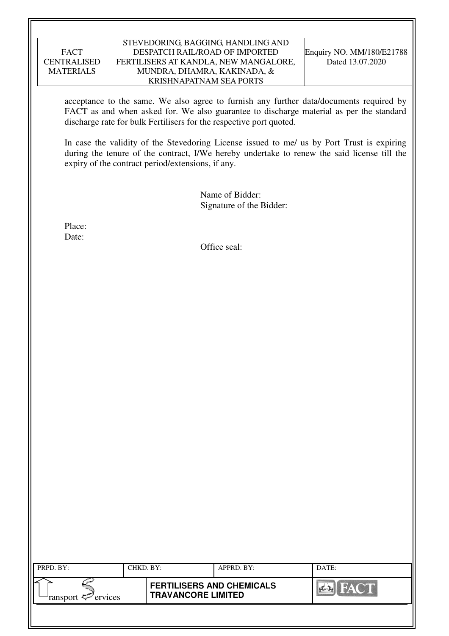#### STEVEDORING, BAGGING, HANDLING AND DESPATCH RAIL/ROAD OF IMPORTED FERTILISERS AT KANDLA, NEW MANGALORE, MUNDRA, DHAMRA, KAKINADA, & KRISHNAPATNAM SEA PORTS

acceptance to the same. We also agree to furnish any further data/documents required by FACT as and when asked for. We also guarantee to discharge material as per the standard discharge rate for bulk Fertilisers for the respective port quoted.

In case the validity of the Stevedoring License issued to me/ us by Port Trust is expiring during the tenure of the contract, I/We hereby undertake to renew the said license till the expiry of the contract period/extensions, if any.

> Name of Bidder: Signature of the Bidder:

Place: Date:

Office seal:

| PRPD. BY:              | CHKD. BY: |                                                               | APPRD. BY: | DATE:       |
|------------------------|-----------|---------------------------------------------------------------|------------|-------------|
| ransport $\ll$ ervices |           | <b>FERTILISERS AND CHEMICALS</b><br><b>TRAVANCORE LIMITED</b> |            | <b>FACT</b> |
|                        |           |                                                               |            |             |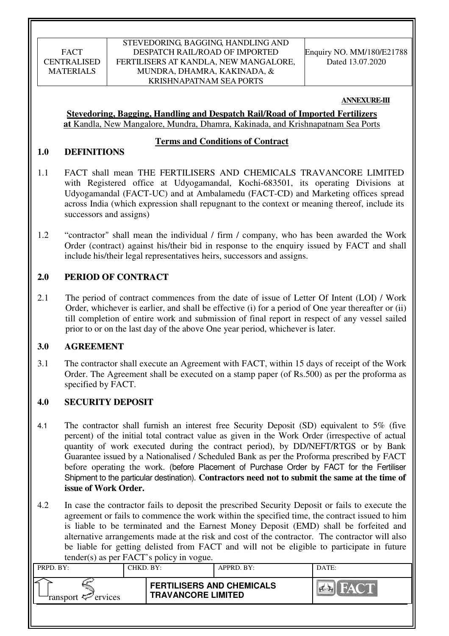#### STEVEDORING, BAGGING, HANDLING AND DESPATCH RAIL/ROAD OF IMPORTED FERTILISERS AT KANDLA, NEW MANGALORE, MUNDRA, DHAMRA, KAKINADA, & KRISHNAPATNAM SEA PORTS

Enquiry NO. MM/180/E21788 Dated 13.07.2020

#### **ANNEXURE-III**

**Stevedoring, Bagging, Handling and Despatch Rail/Road of Imported Fertilizers at** Kandla, New Mangalore, Mundra, Dhamra, Kakinada, and Krishnapatnam Sea Ports

#### **Terms and Conditions of Contract**

### **1.0 DEFINITIONS**

- 1.1 FACT shall mean THE FERTILISERS AND CHEMICALS TRAVANCORE LIMITED with Registered office at Udyogamandal, Kochi-683501, its operating Divisions at Udyogamandal (FACT-UC) and at Ambalamedu (FACT-CD) and Marketing offices spread across India (which expression shall repugnant to the context or meaning thereof, include its successors and assigns)
- 1.2 "contractor" shall mean the individual / firm / company, who has been awarded the Work Order (contract) against his/their bid in response to the enquiry issued by FACT and shall include his/their legal representatives heirs, successors and assigns.

### **2.0 PERIOD OF CONTRACT**

2.1 The period of contract commences from the date of issue of Letter Of Intent (LOI) / Work Order, whichever is earlier, and shall be effective (i) for a period of One year thereafter or (ii) till completion of entire work and submission of final report in respect of any vessel sailed prior to or on the last day of the above One year period, whichever is later.

### **3.0 AGREEMENT**

3.1 The contractor shall execute an Agreement with FACT, within 15 days of receipt of the Work Order. The Agreement shall be executed on a stamp paper (of Rs.500) as per the proforma as specified by FACT.

### **4.0 SECURITY DEPOSIT**

- 4.1 The contractor shall furnish an interest free Security Deposit (SD) equivalent to 5% (five percent) of the initial total contract value as given in the Work Order (irrespective of actual quantity of work executed during the contract period), by DD/NEFT/RTGS or by Bank Guarantee issued by a Nationalised / Scheduled Bank as per the Proforma prescribed by FACT before operating the work. (before Placement of Purchase Order by FACT for the Fertiliser Shipment to the particular destination). **Contractors need not to submit the same at the time of issue of Work Order.**
- 4.2 In case the contractor fails to deposit the prescribed Security Deposit or fails to execute the agreement or fails to commence the work within the specified time, the contract issued to him is liable to be terminated and the Earnest Money Deposit (EMD) shall be forfeited and alternative arrangements made at the risk and cost of the contractor. The contractor will also be liable for getting delisted from FACT and will not be eligible to participate in future tender(s) as per FACT's policy in vogue.

| $\sim$ $\sim$ $\sim$ $\sim$ $\sim$ $\sim$ |           |                                                               |            |       |  |  |  |
|-------------------------------------------|-----------|---------------------------------------------------------------|------------|-------|--|--|--|
| PRPD. BY:                                 | CHKD. BY: |                                                               | APPRD. BY: | DATE: |  |  |  |
| ransport $\ll$ ervices                    |           | <b>FERTILISERS AND CHEMICALS</b><br><b>TRAVANCORE LIMITED</b> |            | FACT  |  |  |  |
|                                           |           |                                                               |            |       |  |  |  |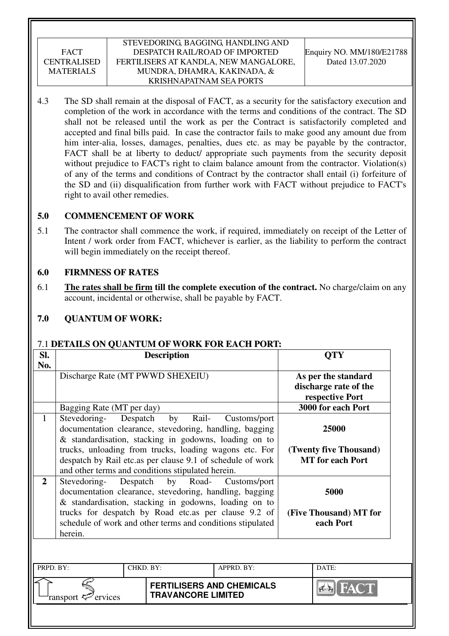### STEVEDORING, BAGGING, HANDLING AND DESPATCH RAIL/ROAD OF IMPORTED FERTILISERS AT KANDLA, NEW MANGALORE, MUNDRA, DHAMRA, KAKINADA, & KRISHNAPATNAM SEA PORTS

4.3 The SD shall remain at the disposal of FACT, as a security for the satisfactory execution and completion of the work in accordance with the terms and conditions of the contract. The SD shall not be released until the work as per the Contract is satisfactorily completed and accepted and final bills paid. In case the contractor fails to make good any amount due from him inter-alia, losses, damages, penalties, dues etc. as may be payable by the contractor, FACT shall be at liberty to deduct/ appropriate such payments from the security deposit without prejudice to FACT's right to claim balance amount from the contractor. Violation(s) of any of the terms and conditions of Contract by the contractor shall entail (i) forfeiture of the SD and (ii) disqualification from further work with FACT without prejudice to FACT's right to avail other remedies.

### **5.0 COMMENCEMENT OF WORK**

5.1 The contractor shall commence the work, if required, immediately on receipt of the Letter of Intent / work order from FACT, whichever is earlier, as the liability to perform the contract will begin immediately on the receipt thereof.

# **6.0 FIRMNESS OF RATES**

6.1 **The rates shall be firm till the complete execution of the contract.** No charge/claim on any account, incidental or otherwise, shall be payable by FACT.

# **7.0 QUANTUM OF WORK:**

### 7.1 **DETAILS ON QUANTUM OF WORK FOR EACH PORT:**

| Sl.            |                                                                                                                                                                           | <b>Description</b>                                              |                                                   | <b>QTY</b>         |  |  |  |
|----------------|---------------------------------------------------------------------------------------------------------------------------------------------------------------------------|-----------------------------------------------------------------|---------------------------------------------------|--------------------|--|--|--|
| No.            | Discharge Rate (MT PWWD SHEXEIU)                                                                                                                                          | As per the standard<br>discharge rate of the<br>respective Port |                                                   |                    |  |  |  |
|                | Bagging Rate (MT per day)                                                                                                                                                 |                                                                 |                                                   | 3000 for each Port |  |  |  |
| $\mathbf{1}$   | Stevedoring- Despatch<br>documentation clearance, stevedoring, handling, bagging<br>& standardisation, stacking in godowns, loading on to                                 | 25000                                                           |                                                   |                    |  |  |  |
|                | trucks, unloading from trucks, loading wagons etc. For<br>despatch by Rail etc.as per clause 9.1 of schedule of work<br>and other terms and conditions stipulated herein. |                                                                 | (Twenty five Thousand)<br><b>MT</b> for each Port |                    |  |  |  |
| $\overline{2}$ | Stevedoring- Despatch by Road-<br>documentation clearance, stevedoring, handling, bagging<br>& standardisation, stacking in godowns, loading on to                        | Customs/port                                                    | 5000                                              |                    |  |  |  |
|                | trucks for despatch by Road etc.as per clause 9.2 of<br>schedule of work and other terms and conditions stipulated<br>herein.                                             |                                                                 | (Five Thousand) MT for<br>each Port               |                    |  |  |  |
|                |                                                                                                                                                                           |                                                                 |                                                   |                    |  |  |  |
| PRPD. BY:      |                                                                                                                                                                           | DATE:                                                           |                                                   |                    |  |  |  |
|                | ervices<br>ransport                                                                                                                                                       | <b>FERTILISERS AND CHEMICALS</b>                                |                                                   |                    |  |  |  |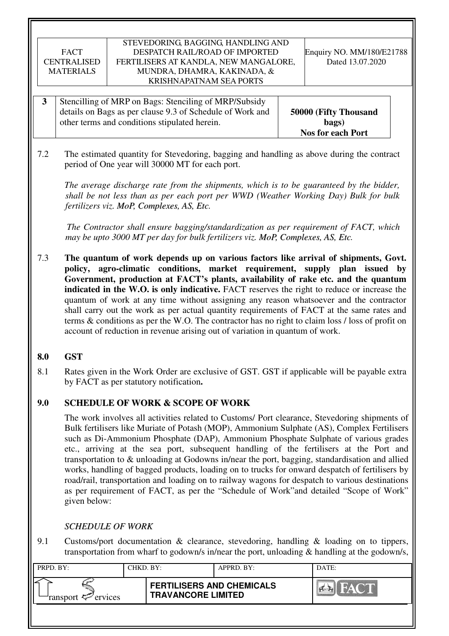#### STEVEDORING, BAGGING, HANDLING AND DESPATCH RAIL/ROAD OF IMPORTED FERTILISERS AT KANDLA, NEW MANGALORE, MUNDRA, DHAMRA, KAKINADA, & KRISHNAPATNAM SEA PORTS

Enquiry NO. MM/180/E21788 Dated 13.07.2020

- **3** Stencilling of MRP on Bags: Stenciling of MRP/Subsidy details on Bags as per clause 9.3 of Schedule of Work and other terms and conditions stipulated herein. **50000 (Fifty Thousand bags) Nos for each Port**
- 7.2 The estimated quantity for Stevedoring, bagging and handling as above during the contract period of One year will 30000 MT for each port.

*The average discharge rate from the shipments, which is to be guaranteed by the bidder, shall be not less than as per each port per WWD (Weather Working Day) Bulk for bulk fertilizers viz. MoP, Complexes, AS, Etc.*

 *The Contractor shall ensure bagging/standardization as per requirement of FACT, which may be upto 3000 MT per day for bulk fertilizers viz. MoP, Complexes, AS, Etc.*

7.3 **The quantum of work depends up on various factors like arrival of shipments, Govt. policy, agro-climatic conditions, market requirement, supply plan issued by Government, production at FACT's plants, availability of rake etc. and the quantum indicated in the W.O. is only indicative.** FACT reserves the right to reduce or increase the quantum of work at any time without assigning any reason whatsoever and the contractor shall carry out the work as per actual quantity requirements of FACT at the same rates and terms & conditions as per the W.O. The contractor has no right to claim loss / loss of profit on account of reduction in revenue arising out of variation in quantum of work.

### **8.0 GST**

8.1 Rates given in the Work Order are exclusive of GST. GST if applicable will be payable extra by FACT as per statutory notification**.** 

### **9.0 SCHEDULE OF WORK & SCOPE OF WORK**

 The work involves all activities related to Customs/ Port clearance, Stevedoring shipments of Bulk fertilisers like Muriate of Potash (MOP), Ammonium Sulphate (AS), Complex Fertilisers such as Di-Ammonium Phosphate (DAP), Ammonium Phosphate Sulphate of various grades etc., arriving at the sea port, subsequent handling of the fertilisers at the Port and transportation to & unloading at Godowns in/near the port, bagging, standardisation and allied works, handling of bagged products, loading on to trucks for onward despatch of fertilisers by road/rail, transportation and loading on to railway wagons for despatch to various destinations as per requirement of FACT, as per the "Schedule of Work"and detailed "Scope of Work" given below:

# *SCHEDULE OF WORK*

9.1 Customs/port documentation & clearance, stevedoring, handling & loading on to tippers, transportation from wharf to godown/s in/near the port, unloading & handling at the godown/s,

| PRPD. BY:              | CHKD. BY: |                                                               | APPRD. BY: | DATE:       |
|------------------------|-----------|---------------------------------------------------------------|------------|-------------|
| ransport $\ll$ ervices |           | <b>FERTILISERS AND CHEMICALS</b><br><b>TRAVANCORE LIMITED</b> |            | <b>FACT</b> |
|                        |           |                                                               |            |             |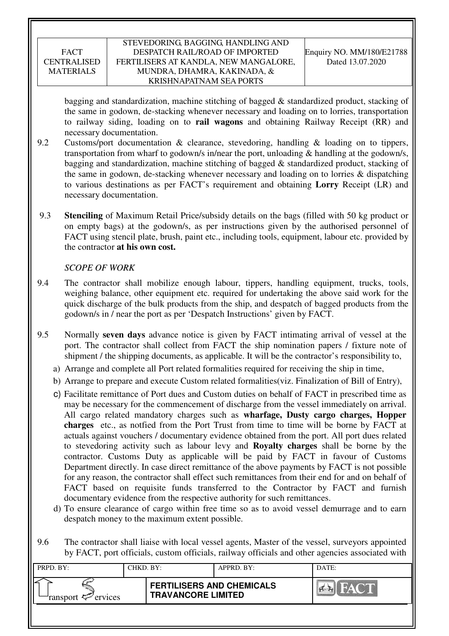### STEVEDORING, BAGGING, HANDLING AND DESPATCH RAIL/ROAD OF IMPORTED FERTILISERS AT KANDLA, NEW MANGALORE, MUNDRA, DHAMRA, KAKINADA, & KRISHNAPATNAM SEA PORTS

bagging and standardization, machine stitching of bagged & standardized product, stacking of the same in godown, de-stacking whenever necessary and loading on to lorries, transportation to railway siding, loading on to **rail wagons** and obtaining Railway Receipt (RR) and necessary documentation.

- 9.2 Customs/port documentation & clearance, stevedoring, handling & loading on to tippers, transportation from wharf to godown/s in/near the port, unloading & handling at the godown/s, bagging and standardization, machine stitching of bagged & standardized product, stacking of the same in godown, de-stacking whenever necessary and loading on to lorries & dispatching to various destinations as per FACT's requirement and obtaining **Lorry** Receipt (LR) and necessary documentation.
- 9.3 **Stenciling** of Maximum Retail Price/subsidy details on the bags (filled with 50 kg product or on empty bags) at the godown/s, as per instructions given by the authorised personnel of FACT using stencil plate, brush, paint etc., including tools, equipment, labour etc. provided by the contractor **at his own cost.**

### *SCOPE OF WORK*

- 9.4 The contractor shall mobilize enough labour, tippers, handling equipment, trucks, tools, weighing balance, other equipment etc. required for undertaking the above said work for the quick discharge of the bulk products from the ship, and despatch of bagged products from the godown/s in / near the port as per 'Despatch Instructions' given by FACT.
- 9.5 Normally **seven days** advance notice is given by FACT intimating arrival of vessel at the port. The contractor shall collect from FACT the ship nomination papers / fixture note of shipment / the shipping documents, as applicable. It will be the contractor's responsibility to,
	- a) Arrange and complete all Port related formalities required for receiving the ship in time,
	- b) Arrange to prepare and execute Custom related formalities(viz. Finalization of Bill of Entry),
	- c) Facilitate remittance of Port dues and Custom duties on behalf of FACT in prescribed time as may be necessary for the commencement of discharge from the vessel immediately on arrival. All cargo related mandatory charges such as **wharfage, Dusty cargo charges, Hopper charges** etc., as notfied from the Port Trust from time to time will be borne by FACT at actuals against vouchers / documentary evidence obtained from the port. All port dues related to stevedoring activity such as labour levy and **Royalty charges** shall be borne by the contractor. Customs Duty as applicable will be paid by FACT in favour of Customs Department directly. In case direct remittance of the above payments by FACT is not possible for any reason, the contractor shall effect such remittances from their end for and on behalf of FACT based on requisite funds transferred to the Contractor by FACT and furnish documentary evidence from the respective authority for such remittances.
	- d) To ensure clearance of cargo within free time so as to avoid vessel demurrage and to earn despatch money to the maximum extent possible.
- 9.6 The contractor shall liaise with local vessel agents, Master of the vessel, surveyors appointed by FACT, port officials, custom officials, railway officials and other agencies associated with

| PRPD. BY:              | CHKD. BY: |                                                               | APPRD. BY: | DATE:                  |
|------------------------|-----------|---------------------------------------------------------------|------------|------------------------|
| ransport $\ll$ ervices |           | <b>FERTILISERS AND CHEMICALS</b><br><b>TRAVANCORE LIMITED</b> |            | <b>FACT</b><br>$A - A$ |
|                        |           |                                                               |            |                        |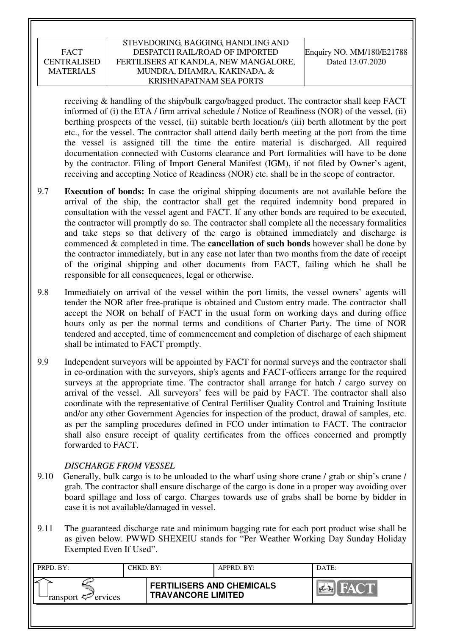### STEVEDORING, BAGGING, HANDLING AND DESPATCH RAIL/ROAD OF IMPORTED FERTILISERS AT KANDLA, NEW MANGALORE, MUNDRA, DHAMRA, KAKINADA, & KRISHNAPATNAM SEA PORTS

receiving & handling of the ship/bulk cargo/bagged product. The contractor shall keep FACT informed of (i) the ETA / firm arrival schedule / Notice of Readiness (NOR) of the vessel, (ii) berthing prospects of the vessel, (ii) suitable berth location/s (iii) berth allotment by the port etc., for the vessel. The contractor shall attend daily berth meeting at the port from the time the vessel is assigned till the time the entire material is discharged. All required documentation connected with Customs clearance and Port formalities will have to be done by the contractor. Filing of Import General Manifest (IGM), if not filed by Owner's agent, receiving and accepting Notice of Readiness (NOR) etc. shall be in the scope of contractor.

- 9.7 **Execution of bonds:** In case the original shipping documents are not available before the arrival of the ship, the contractor shall get the required indemnity bond prepared in consultation with the vessel agent and FACT. If any other bonds are required to be executed, the contractor will promptly do so. The contractor shall complete all the necessary formalities and take steps so that delivery of the cargo is obtained immediately and discharge is commenced & completed in time. The **cancellation of such bonds** however shall be done by the contractor immediately, but in any case not later than two months from the date of receipt of the original shipping and other documents from FACT, failing which he shall be responsible for all consequences, legal or otherwise.
- 9.8 Immediately on arrival of the vessel within the port limits, the vessel owners' agents will tender the NOR after free-pratique is obtained and Custom entry made. The contractor shall accept the NOR on behalf of FACT in the usual form on working days and during office hours only as per the normal terms and conditions of Charter Party. The time of NOR tendered and accepted, time of commencement and completion of discharge of each shipment shall be intimated to FACT promptly.
- 9.9 Independent surveyors will be appointed by FACT for normal surveys and the contractor shall in co-ordination with the surveyors, ship's agents and FACT-officers arrange for the required surveys at the appropriate time. The contractor shall arrange for hatch / cargo survey on arrival of the vessel. All surveyors' fees will be paid by FACT. The contractor shall also coordinate with the representative of Central Fertiliser Quality Control and Training Institute and/or any other Government Agencies for inspection of the product, drawal of samples, etc. as per the sampling procedures defined in FCO under intimation to FACT. The contractor shall also ensure receipt of quality certificates from the offices concerned and promptly forwarded to FACT.

### *DISCHARGE FROM VESSEL*

- 9.10 Generally, bulk cargo is to be unloaded to the wharf using shore crane / grab or ship's crane / grab. The contractor shall ensure discharge of the cargo is done in a proper way avoiding over board spillage and loss of cargo. Charges towards use of grabs shall be borne by bidder in case it is not available/damaged in vessel.
- 9.11 The guaranteed discharge rate and minimum bagging rate for each port product wise shall be as given below. PWWD SHEXEIU stands for "Per Weather Working Day Sunday Holiday Exempted Even If Used".

| PRPD. BY:                                | CHKD. BY: |                                                               | APPRD. BY: | DATE:                |
|------------------------------------------|-----------|---------------------------------------------------------------|------------|----------------------|
| ransport $\epsilon$ <sup>-</sup> ervices |           | <b>FERTILISERS AND CHEMICALS</b><br><b>TRAVANCORE LIMITED</b> |            | <b>THE TAY ON BE</b> |
|                                          |           |                                                               |            |                      |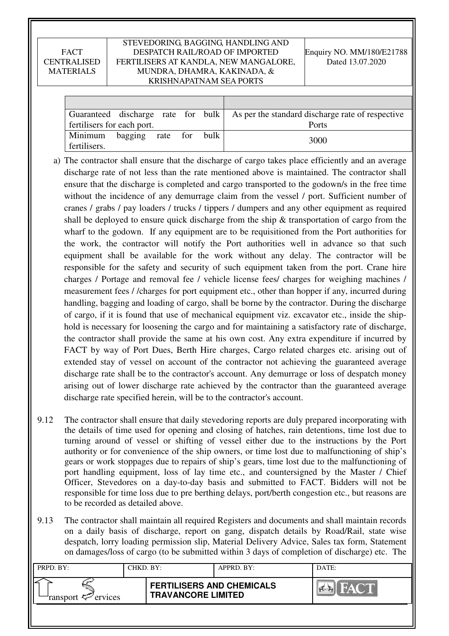#### STEVEDORING, BAGGING, HANDLING AND DESPATCH RAIL/ROAD OF IMPORTED FERTILISERS AT KANDLA, NEW MANGALORE, MUNDRA, DHAMRA, KAKINADA, & KRISHNAPATNAM SEA PORTS

|                            |                  |  |      | Guaranteed discharge rate for bulk   As per the standard discharge rate of respective |
|----------------------------|------------------|--|------|---------------------------------------------------------------------------------------|
| fertilisers for each port. |                  |  |      | Ports                                                                                 |
| Minimum<br>fertilisers.    | bagging rate for |  | bulk | 3000                                                                                  |

- a) The contractor shall ensure that the discharge of cargo takes place efficiently and an average discharge rate of not less than the rate mentioned above is maintained. The contractor shall ensure that the discharge is completed and cargo transported to the godown/s in the free time without the incidence of any demurrage claim from the vessel / port. Sufficient number of cranes / grabs / pay loaders / trucks / tippers / dumpers and any other equipment as required shall be deployed to ensure quick discharge from the ship  $\&$  transportation of cargo from the wharf to the godown. If any equipment are to be requisitioned from the Port authorities for the work, the contractor will notify the Port authorities well in advance so that such equipment shall be available for the work without any delay. The contractor will be responsible for the safety and security of such equipment taken from the port. Crane hire charges / Portage and removal fee / vehicle license fees/ charges for weighing machines / measurement fees / /charges for port equipment etc., other than hopper if any, incurred during handling, bagging and loading of cargo, shall be borne by the contractor. During the discharge of cargo, if it is found that use of mechanical equipment viz. excavator etc., inside the shiphold is necessary for loosening the cargo and for maintaining a satisfactory rate of discharge, the contractor shall provide the same at his own cost. Any extra expenditure if incurred by FACT by way of Port Dues, Berth Hire charges, Cargo related charges etc. arising out of extended stay of vessel on account of the contractor not achieving the guaranteed average discharge rate shall be to the contractor's account. Any demurrage or loss of despatch money arising out of lower discharge rate achieved by the contractor than the guaranteed average discharge rate specified herein, will be to the contractor's account.
- 9.12 The contractor shall ensure that daily stevedoring reports are duly prepared incorporating with the details of time used for opening and closing of hatches, rain detentions, time lost due to turning around of vessel or shifting of vessel either due to the instructions by the Port authority or for convenience of the ship owners, or time lost due to malfunctioning of ship's gears or work stoppages due to repairs of ship's gears, time lost due to the malfunctioning of port handling equipment, loss of lay time etc., and countersigned by the Master / Chief Officer, Stevedores on a day-to-day basis and submitted to FACT. Bidders will not be responsible for time loss due to pre berthing delays, port/berth congestion etc., but reasons are to be recorded as detailed above.
- 9.13 The contractor shall maintain all required Registers and documents and shall maintain records on a daily basis of discharge, report on gang, dispatch details by Road/Rail, state wise despatch, lorry loading permission slip, Material Delivery Advice, Sales tax form, Statement on damages/loss of cargo (to be submitted within 3 days of completion of discharge) etc. The

| PRPD. BY:              | CHKD. BY: |                                                               | APPRD. BY: | DATE:      |
|------------------------|-----------|---------------------------------------------------------------|------------|------------|
| ransport $\ll$ ervices |           | <b>FERTILISERS AND CHEMICALS</b><br><b>TRAVANCORE LIMITED</b> |            | <b>PER</b> |
|                        |           |                                                               |            |            |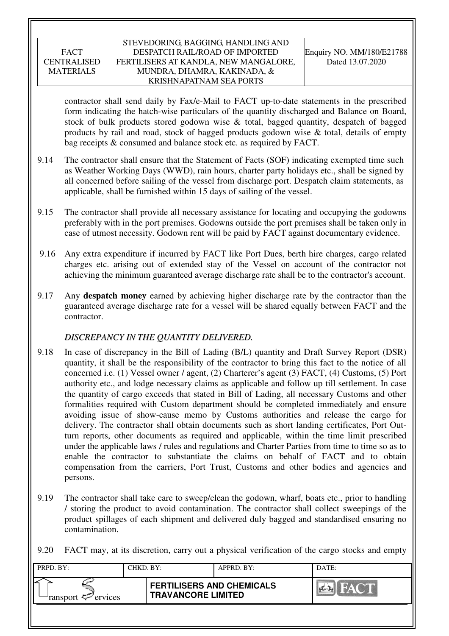#### STEVEDORING, BAGGING, HANDLING AND DESPATCH RAIL/ROAD OF IMPORTED FERTILISERS AT KANDLA, NEW MANGALORE, MUNDRA, DHAMRA, KAKINADA, & KRISHNAPATNAM SEA PORTS

contractor shall send daily by Fax/e-Mail to FACT up-to-date statements in the prescribed form indicating the hatch-wise particulars of the quantity discharged and Balance on Board, stock of bulk products stored godown wise & total, bagged quantity, despatch of bagged products by rail and road, stock of bagged products godown wise & total, details of empty bag receipts & consumed and balance stock etc. as required by FACT.

- 9.14 The contractor shall ensure that the Statement of Facts (SOF) indicating exempted time such as Weather Working Days (WWD), rain hours, charter party holidays etc., shall be signed by all concerned before sailing of the vessel from discharge port. Despatch claim statements, as applicable, shall be furnished within 15 days of sailing of the vessel.
- 9.15 The contractor shall provide all necessary assistance for locating and occupying the godowns preferably with in the port premises. Godowns outside the port premises shall be taken only in case of utmost necessity. Godown rent will be paid by FACT against documentary evidence.
- 9.16 Any extra expenditure if incurred by FACT like Port Dues, berth hire charges, cargo related charges etc. arising out of extended stay of the Vessel on account of the contractor not achieving the minimum guaranteed average discharge rate shall be to the contractor's account.
- 9.17 Any **despatch money** earned by achieving higher discharge rate by the contractor than the guaranteed average discharge rate for a vessel will be shared equally between FACT and the contractor.

### *DISCREPANCY IN THE QUANTITY DELIVERED.*

- 9.18 In case of discrepancy in the Bill of Lading (B/L) quantity and Draft Survey Report (DSR) quantity, it shall be the responsibility of the contractor to bring this fact to the notice of all concerned i.e. (1) Vessel owner / agent, (2) Charterer's agent (3) FACT, (4) Customs, (5) Port authority etc., and lodge necessary claims as applicable and follow up till settlement. In case the quantity of cargo exceeds that stated in Bill of Lading, all necessary Customs and other formalities required with Custom department should be completed immediately and ensure avoiding issue of show-cause memo by Customs authorities and release the cargo for delivery. The contractor shall obtain documents such as short landing certificates, Port Outturn reports, other documents as required and applicable, within the time limit prescribed under the applicable laws / rules and regulations and Charter Parties from time to time so as to enable the contractor to substantiate the claims on behalf of FACT and to obtain compensation from the carriers, Port Trust, Customs and other bodies and agencies and persons.
- 9.19 The contractor shall take care to sweep/clean the godown, wharf, boats etc., prior to handling / storing the product to avoid contamination. The contractor shall collect sweepings of the product spillages of each shipment and delivered duly bagged and standardised ensuring no contamination.

9.20 FACT may, at its discretion, carry out a physical verification of the cargo stocks and empty

| PRPD. BY:              | CHKD. BY: |                                                               | APPRD. BY: | DATE:                 |
|------------------------|-----------|---------------------------------------------------------------|------------|-----------------------|
| ransport $\ll$ ervices |           | <b>FERTILISERS AND CHEMICALS</b><br><b>TRAVANCORE LIMITED</b> |            | <b>FACT</b><br>$\sim$ |
|                        |           |                                                               |            |                       |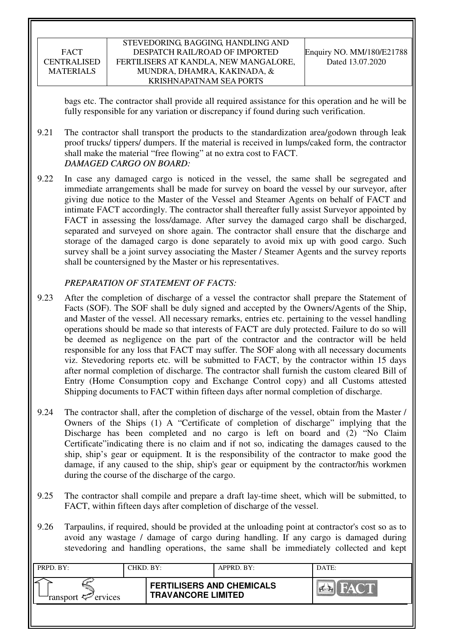#### STEVEDORING, BAGGING, HANDLING AND DESPATCH RAIL/ROAD OF IMPORTED FERTILISERS AT KANDLA, NEW MANGALORE, MUNDRA, DHAMRA, KAKINADA, & KRISHNAPATNAM SEA PORTS

bags etc. The contractor shall provide all required assistance for this operation and he will be fully responsible for any variation or discrepancy if found during such verification.

- 9.21 The contractor shall transport the products to the standardization area/godown through leak proof trucks/ tippers/ dumpers. If the material is received in lumps/caked form, the contractor shall make the material "free flowing" at no extra cost to FACT. *DAMAGED CARGO ON BOARD:*
- 9.22 In case any damaged cargo is noticed in the vessel, the same shall be segregated and immediate arrangements shall be made for survey on board the vessel by our surveyor, after giving due notice to the Master of the Vessel and Steamer Agents on behalf of FACT and intimate FACT accordingly. The contractor shall thereafter fully assist Surveyor appointed by FACT in assessing the loss/damage. After survey the damaged cargo shall be discharged, separated and surveyed on shore again. The contractor shall ensure that the discharge and storage of the damaged cargo is done separately to avoid mix up with good cargo. Such survey shall be a joint survey associating the Master / Steamer Agents and the survey reports shall be countersigned by the Master or his representatives.

# *PREPARATION OF STATEMENT OF FACTS:*

- 9.23 After the completion of discharge of a vessel the contractor shall prepare the Statement of Facts (SOF). The SOF shall be duly signed and accepted by the Owners/Agents of the Ship, and Master of the vessel. All necessary remarks, entries etc. pertaining to the vessel handling operations should be made so that interests of FACT are duly protected. Failure to do so will be deemed as negligence on the part of the contractor and the contractor will be held responsible for any loss that FACT may suffer. The SOF along with all necessary documents viz. Stevedoring reports etc. will be submitted to FACT, by the contractor within 15 days after normal completion of discharge. The contractor shall furnish the custom cleared Bill of Entry (Home Consumption copy and Exchange Control copy) and all Customs attested Shipping documents to FACT within fifteen days after normal completion of discharge.
- 9.24 The contractor shall, after the completion of discharge of the vessel, obtain from the Master / Owners of the Ships (1) A "Certificate of completion of discharge" implying that the Discharge has been completed and no cargo is left on board and (2) "No Claim Certificate"indicating there is no claim and if not so, indicating the damages caused to the ship, ship's gear or equipment. It is the responsibility of the contractor to make good the damage, if any caused to the ship, ship's gear or equipment by the contractor/his workmen during the course of the discharge of the cargo.
- 9.25 The contractor shall compile and prepare a draft lay-time sheet, which will be submitted, to FACT, within fifteen days after completion of discharge of the vessel.
- 9.26 Tarpaulins, if required, should be provided at the unloading point at contractor's cost so as to avoid any wastage / damage of cargo during handling. If any cargo is damaged during stevedoring and handling operations, the same shall be immediately collected and kept

| PRPD. BY:              | CHKD. BY: |                                                               | APPRD. BY: | DATE:            |
|------------------------|-----------|---------------------------------------------------------------|------------|------------------|
| ransport $\ll$ ervices |           | <b>FERTILISERS AND CHEMICALS</b><br><b>TRAVANCORE LIMITED</b> |            | <b>THAT COLL</b> |
|                        |           |                                                               |            |                  |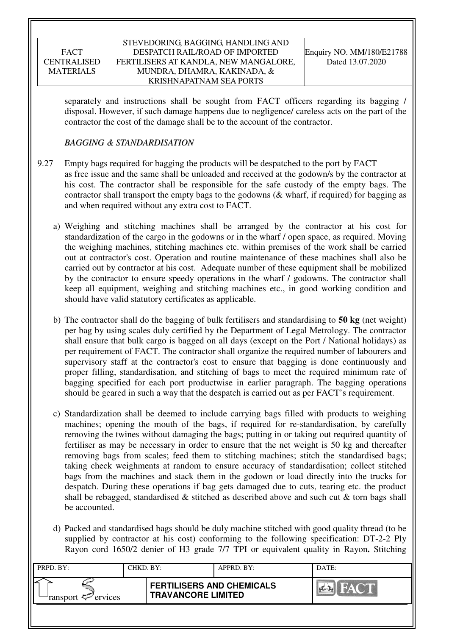#### STEVEDORING, BAGGING, HANDLING AND DESPATCH RAIL/ROAD OF IMPORTED FERTILISERS AT KANDLA, NEW MANGALORE, MUNDRA, DHAMRA, KAKINADA, & KRISHNAPATNAM SEA PORTS

separately and instructions shall be sought from FACT officers regarding its bagging / disposal. However, if such damage happens due to negligence/ careless acts on the part of the contractor the cost of the damage shall be to the account of the contractor.

# *BAGGING & STANDARDISATION*

- 9.27 Empty bags required for bagging the products will be despatched to the port by FACT as free issue and the same shall be unloaded and received at the godown/s by the contractor at his cost. The contractor shall be responsible for the safe custody of the empty bags. The contractor shall transport the empty bags to the godowns (& wharf, if required) for bagging as and when required without any extra cost to FACT.
	- a) Weighing and stitching machines shall be arranged by the contractor at his cost for standardization of the cargo in the godowns or in the wharf / open space, as required. Moving the weighing machines, stitching machines etc. within premises of the work shall be carried out at contractor's cost. Operation and routine maintenance of these machines shall also be carried out by contractor at his cost. Adequate number of these equipment shall be mobilized by the contractor to ensure speedy operations in the wharf / godowns. The contractor shall keep all equipment, weighing and stitching machines etc., in good working condition and should have valid statutory certificates as applicable.
	- b) The contractor shall do the bagging of bulk fertilisers and standardising to **50 kg** (net weight) per bag by using scales duly certified by the Department of Legal Metrology. The contractor shall ensure that bulk cargo is bagged on all days (except on the Port / National holidays) as per requirement of FACT. The contractor shall organize the required number of labourers and supervisory staff at the contractor's cost to ensure that bagging is done continuously and proper filling, standardisation, and stitching of bags to meet the required minimum rate of bagging specified for each port productwise in earlier paragraph. The bagging operations should be geared in such a way that the despatch is carried out as per FACT's requirement.
	- c) Standardization shall be deemed to include carrying bags filled with products to weighing machines; opening the mouth of the bags, if required for re-standardisation, by carefully removing the twines without damaging the bags; putting in or taking out required quantity of fertiliser as may be necessary in order to ensure that the net weight is 50 kg and thereafter removing bags from scales; feed them to stitching machines; stitch the standardised bags; taking check weighments at random to ensure accuracy of standardisation; collect stitched bags from the machines and stack them in the godown or load directly into the trucks for despatch. During these operations if bag gets damaged due to cuts, tearing etc. the product shall be rebagged, standardised  $\&$  stitched as described above and such cut  $\&$  torn bags shall be accounted.
	- d) Packed and standardised bags should be duly machine stitched with good quality thread (to be supplied by contractor at his cost) conforming to the following specification: DT-2-2 Ply Rayon cord 1650/2 denier of H3 grade 7/7 TPI or equivalent quality in Rayon**.** Stitching

| PRPD. BY:              | CHKD. BY: |                                                               | APPRD. BY: | DATE:                 |
|------------------------|-----------|---------------------------------------------------------------|------------|-----------------------|
| ransport $\ll$ ervices |           | <b>FERTILISERS AND CHEMICALS</b><br><b>TRAVANCORE LIMITED</b> |            | HACTE<br><b>PARTY</b> |
|                        |           |                                                               |            |                       |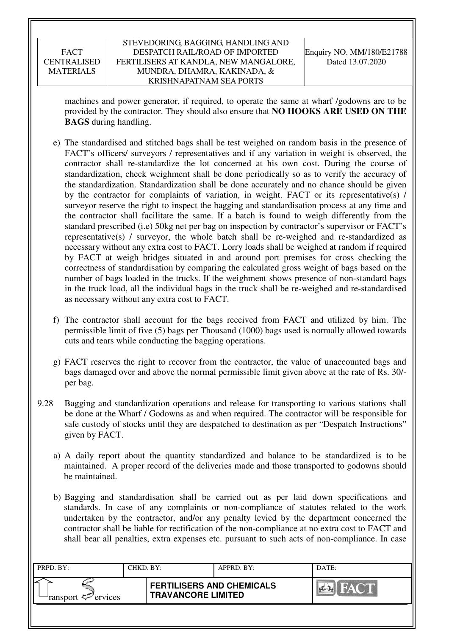machines and power generator, if required, to operate the same at wharf /godowns are to be provided by the contractor. They should also ensure that **NO HOOKS ARE USED ON THE BAGS** during handling.

- e) The standardised and stitched bags shall be test weighed on random basis in the presence of FACT's officers/ surveyors / representatives and if any variation in weight is observed, the contractor shall re-standardize the lot concerned at his own cost. During the course of standardization, check weighment shall be done periodically so as to verify the accuracy of the standardization. Standardization shall be done accurately and no chance should be given by the contractor for complaints of variation, in weight. FACT or its representative(s) / surveyor reserve the right to inspect the bagging and standardisation process at any time and the contractor shall facilitate the same. If a batch is found to weigh differently from the standard prescribed (i.e) 50kg net per bag on inspection by contractor's supervisor or FACT's representative(s) / surveyor, the whole batch shall be re-weighed and re-standardized as necessary without any extra cost to FACT. Lorry loads shall be weighed at random if required by FACT at weigh bridges situated in and around port premises for cross checking the correctness of standardisation by comparing the calculated gross weight of bags based on the number of bags loaded in the trucks. If the weighment shows presence of non-standard bags in the truck load, all the individual bags in the truck shall be re-weighed and re-standardised as necessary without any extra cost to FACT.
- f) The contractor shall account for the bags received from FACT and utilized by him. The permissible limit of five (5) bags per Thousand (1000) bags used is normally allowed towards cuts and tears while conducting the bagging operations.
- g) FACT reserves the right to recover from the contractor, the value of unaccounted bags and bags damaged over and above the normal permissible limit given above at the rate of Rs. 30/ per bag.
- 9.28 Bagging and standardization operations and release for transporting to various stations shall be done at the Wharf / Godowns as and when required. The contractor will be responsible for safe custody of stocks until they are despatched to destination as per "Despatch Instructions" given by FACT.
	- a) A daily report about the quantity standardized and balance to be standardized is to be maintained. A proper record of the deliveries made and those transported to godowns should be maintained.
	- b) Bagging and standardisation shall be carried out as per laid down specifications and standards. In case of any complaints or non-compliance of statutes related to the work undertaken by the contractor, and/or any penalty levied by the department concerned the contractor shall be liable for rectification of the non-compliance at no extra cost to FACT and shall bear all penalties, extra expenses etc. pursuant to such acts of non-compliance. In case

| PRPD. BY:              | CHKD. BY: |                                                               | APPRD. BY: | DATE:       |
|------------------------|-----------|---------------------------------------------------------------|------------|-------------|
| ransport $\ll$ ervices |           | <b>FERTILISERS AND CHEMICALS</b><br><b>TRAVANCORE LIMITED</b> |            | <b>FACT</b> |
|                        |           |                                                               |            |             |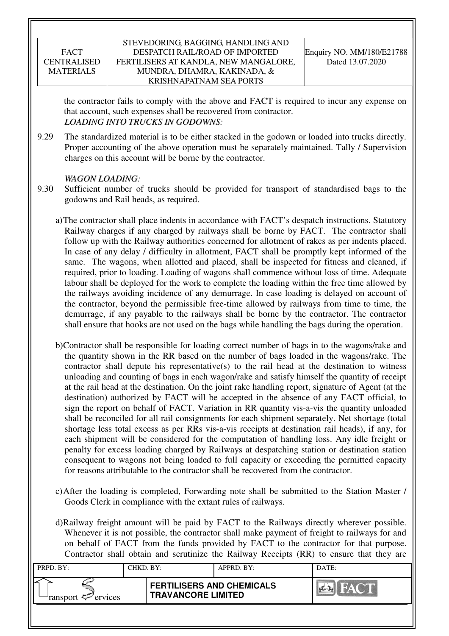### STEVEDORING, BAGGING, HANDLING AND DESPATCH RAIL/ROAD OF IMPORTED FERTILISERS AT KANDLA, NEW MANGALORE, MUNDRA, DHAMRA, KAKINADA, & KRISHNAPATNAM SEA PORTS

the contractor fails to comply with the above and FACT is required to incur any expense on that account, such expenses shall be recovered from contractor. *LOADING INTO TRUCKS IN GODOWNS:* 

9.29 The standardized material is to be either stacked in the godown or loaded into trucks directly. Proper accounting of the above operation must be separately maintained. Tally / Supervision charges on this account will be borne by the contractor.

### *WAGON LOADING:*

- 9.30 Sufficient number of trucks should be provided for transport of standardised bags to the godowns and Rail heads, as required.
	- a)The contractor shall place indents in accordance with FACT's despatch instructions. Statutory Railway charges if any charged by railways shall be borne by FACT. The contractor shall follow up with the Railway authorities concerned for allotment of rakes as per indents placed. In case of any delay / difficulty in allotment, FACT shall be promptly kept informed of the same. The wagons, when allotted and placed, shall be inspected for fitness and cleaned, if required, prior to loading. Loading of wagons shall commence without loss of time. Adequate labour shall be deployed for the work to complete the loading within the free time allowed by the railways avoiding incidence of any demurrage. In case loading is delayed on account of the contractor, beyond the permissible free-time allowed by railways from time to time, the demurrage, if any payable to the railways shall be borne by the contractor. The contractor shall ensure that hooks are not used on the bags while handling the bags during the operation.
	- b)Contractor shall be responsible for loading correct number of bags in to the wagons/rake and the quantity shown in the RR based on the number of bags loaded in the wagons/rake. The contractor shall depute his representative(s) to the rail head at the destination to witness unloading and counting of bags in each wagon/rake and satisfy himself the quantity of receipt at the rail head at the destination. On the joint rake handling report, signature of Agent (at the destination) authorized by FACT will be accepted in the absence of any FACT official, to sign the report on behalf of FACT. Variation in RR quantity vis-a-vis the quantity unloaded shall be reconciled for all rail consignments for each shipment separately. Net shortage (total shortage less total excess as per RRs vis-a-vis receipts at destination rail heads), if any, for each shipment will be considered for the computation of handling loss. Any idle freight or penalty for excess loading charged by Railways at despatching station or destination station consequent to wagons not being loaded to full capacity or exceeding the permitted capacity for reasons attributable to the contractor shall be recovered from the contractor.
	- c)After the loading is completed, Forwarding note shall be submitted to the Station Master / Goods Clerk in compliance with the extant rules of railways.
	- d)Railway freight amount will be paid by FACT to the Railways directly wherever possible. Whenever it is not possible, the contractor shall make payment of freight to railways for and on behalf of FACT from the funds provided by FACT to the contractor for that purpose. Contractor shall obtain and scrutinize the Railway Receipts (RR) to ensure that they are

| PRPD. BY:                 | CHKD. BY: |                                                               | APPRD. BY: | DATE:                  |
|---------------------------|-----------|---------------------------------------------------------------|------------|------------------------|
| ransport $\sharp$ ervices |           | <b>FERTILISERS AND CHEMICALS</b><br><b>TRAVANCORE LIMITED</b> |            | FACT.<br><b>Part R</b> |
|                           |           |                                                               |            |                        |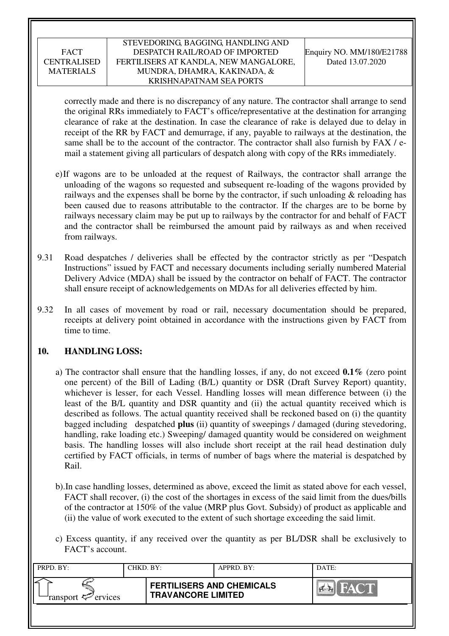### STEVEDORING, BAGGING, HANDLING AND DESPATCH RAIL/ROAD OF IMPORTED FERTILISERS AT KANDLA, NEW MANGALORE, MUNDRA, DHAMRA, KAKINADA, & KRISHNAPATNAM SEA PORTS

correctly made and there is no discrepancy of any nature. The contractor shall arrange to send the original RRs immediately to FACT's office/representative at the destination for arranging clearance of rake at the destination. In case the clearance of rake is delayed due to delay in receipt of the RR by FACT and demurrage, if any, payable to railways at the destination, the same shall be to the account of the contractor. The contractor shall also furnish by FAX / email a statement giving all particulars of despatch along with copy of the RRs immediately.

- e)If wagons are to be unloaded at the request of Railways, the contractor shall arrange the unloading of the wagons so requested and subsequent re-loading of the wagons provided by railways and the expenses shall be borne by the contractor, if such unloading  $\&$  reloading has been caused due to reasons attributable to the contractor. If the charges are to be borne by railways necessary claim may be put up to railways by the contractor for and behalf of FACT and the contractor shall be reimbursed the amount paid by railways as and when received from railways.
- 9.31 Road despatches / deliveries shall be effected by the contractor strictly as per "Despatch Instructions" issued by FACT and necessary documents including serially numbered Material Delivery Advice (MDA) shall be issued by the contractor on behalf of FACT. The contractor shall ensure receipt of acknowledgements on MDAs for all deliveries effected by him.
- 9.32 In all cases of movement by road or rail, necessary documentation should be prepared, receipts at delivery point obtained in accordance with the instructions given by FACT from time to time.

### **10. HANDLING LOSS:**

- a) The contractor shall ensure that the handling losses, if any, do not exceed **0.1%** (zero point one percent) of the Bill of Lading (B/L) quantity or DSR (Draft Survey Report) quantity, whichever is lesser, for each Vessel. Handling losses will mean difference between (i) the least of the B/L quantity and DSR quantity and (ii) the actual quantity received which is described as follows. The actual quantity received shall be reckoned based on (i) the quantity bagged including despatched **plus** (ii) quantity of sweepings / damaged (during stevedoring, handling, rake loading etc.) Sweeping/ damaged quantity would be considered on weighment basis. The handling losses will also include short receipt at the rail head destination duly certified by FACT officials, in terms of number of bags where the material is despatched by Rail.
- b).In case handling losses, determined as above, exceed the limit as stated above for each vessel, FACT shall recover, (i) the cost of the shortages in excess of the said limit from the dues/bills of the contractor at 150% of the value (MRP plus Govt. Subsidy) of product as applicable and (ii) the value of work executed to the extent of such shortage exceeding the said limit.
- c) Excess quantity, if any received over the quantity as per BL/DSR shall be exclusively to FACT's account.

| PRPD. BY:              | CHKD. BY: |                                                               | APPRD. BY: | DATE: |
|------------------------|-----------|---------------------------------------------------------------|------------|-------|
| ransport $\ll$ ervices |           | <b>FERTILISERS AND CHEMICALS</b><br><b>TRAVANCORE LIMITED</b> |            | FACT. |
|                        |           |                                                               |            |       |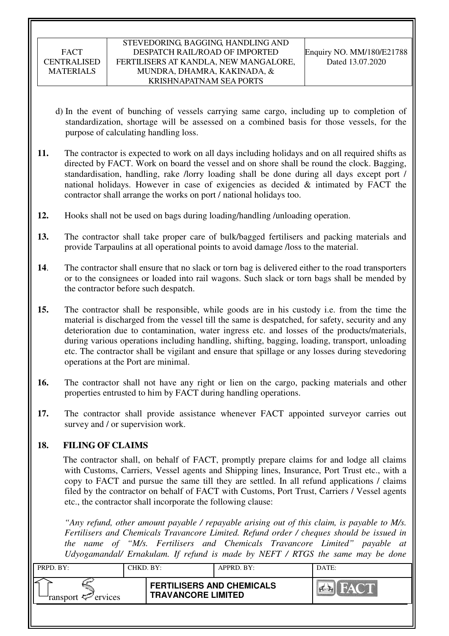- d) In the event of bunching of vessels carrying same cargo, including up to completion of standardization, shortage will be assessed on a combined basis for those vessels, for the purpose of calculating handling loss.
- **11.** The contractor is expected to work on all days including holidays and on all required shifts as directed by FACT. Work on board the vessel and on shore shall be round the clock. Bagging, standardisation, handling, rake /lorry loading shall be done during all days except port / national holidays. However in case of exigencies as decided & intimated by FACT the contractor shall arrange the works on port / national holidays too.
- **12.** Hooks shall not be used on bags during loading/handling /unloading operation.
- **13.** The contractor shall take proper care of bulk/bagged fertilisers and packing materials and provide Tarpaulins at all operational points to avoid damage /loss to the material.
- **14**. The contractor shall ensure that no slack or torn bag is delivered either to the road transporters or to the consignees or loaded into rail wagons. Such slack or torn bags shall be mended by the contractor before such despatch.
- **15.** The contractor shall be responsible, while goods are in his custody i.e. from the time the material is discharged from the vessel till the same is despatched, for safety, security and any deterioration due to contamination, water ingress etc. and losses of the products/materials, during various operations including handling, shifting, bagging, loading, transport, unloading etc. The contractor shall be vigilant and ensure that spillage or any losses during stevedoring operations at the Port are minimal.
- **16.** The contractor shall not have any right or lien on the cargo, packing materials and other properties entrusted to him by FACT during handling operations.
- **17.** The contractor shall provide assistance whenever FACT appointed surveyor carries out survey and / or supervision work.

# **18. FILING OF CLAIMS**

The contractor shall, on behalf of FACT, promptly prepare claims for and lodge all claims with Customs, Carriers, Vessel agents and Shipping lines, Insurance, Port Trust etc., with a copy to FACT and pursue the same till they are settled. In all refund applications / claims filed by the contractor on behalf of FACT with Customs, Port Trust, Carriers / Vessel agents etc., the contractor shall incorporate the following clause:

*"Any refund, other amount payable / repayable arising out of this claim, is payable to M/s. Fertilisers and Chemicals Travancore Limited. Refund order / cheques should be issued in the name of "M/s. Fertilisers and Chemicals Travancore Limited" payable at Udyogamandal/ Ernakulam. If refund is made by NEFT / RTGS the same may be done* 

| PRPD. BY:              | CHKD. BY: |                                                               | APPRD. BY: | DATE:       |
|------------------------|-----------|---------------------------------------------------------------|------------|-------------|
| ransport $\ll$ ervices |           | <b>FERTILISERS AND CHEMICALS</b><br><b>TRAVANCORE LIMITED</b> |            | <b>FACT</b> |
|                        |           |                                                               |            |             |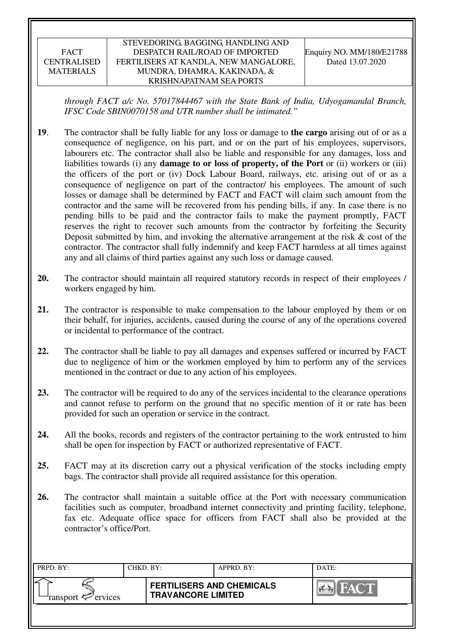#### STEVEDORING, BAGGING, HANDLING AND DESPATCH RAIL/ROAD OF IMPORTED FERTILISERS AT KANDLA, NEW MANGALORE, MUNDRA, DHAMRA, KAKINADA, & KRISHNAPATNAM SEA PORTS

*through FACT a/c No. 57017844467 with the State Bank of India, Udyogamandal Branch, IFSC Code SBIN0070158 and UTR number shall be intimated."* 

- **19**. The contractor shall be fully liable for any loss or damage to **the cargo** arising out of or as a consequence of negligence, on his part, and or on the part of his employees, supervisors, labourers etc. The contractor shall also be liable and responsible for any damages, loss and liabilities towards (i) any **damage to or loss of property, of the Port** or (ii) workers or (iii) the officers of the port or (iv) Dock Labour Board, railways, etc. arising out of or as a consequence of negligence on part of the contractor/ his employees. The amount of such losses or damage shall be determined by FACT and FACT will claim such amount from the contractor and the same will be recovered from his pending bills, if any. In case there is no pending bills to be paid and the contractor fails to make the payment promptly, FACT reserves the right to recover such amounts from the contractor by forfeiting the Security Deposit submitted by him, and invoking the alternative arrangement at the risk  $\&$  cost of the contractor. The contractor shall fully indemnify and keep FACT harmless at all times against any and all claims of third parties against any such loss or damage caused.
- **20.** The contractor should maintain all required statutory records in respect of their employees / workers engaged by him.
- **21.** The contractor is responsible to make compensation to the labour employed by them or on their behalf, for injuries, accidents, caused during the course of any of the operations covered or incidental to performance of the contract.
- **22.** The contractor shall be liable to pay all damages and expenses suffered or incurred by FACT due to negligence of him or the workmen employed by him to perform any of the services mentioned in the contract or due to any action of his employees.
- **23.** The contractor will be required to do any of the services incidental to the clearance operations and cannot refuse to perform on the ground that no specific mention of it or rate has been provided for such an operation or service in the contract.
- **24.** All the books, records and registers of the contractor pertaining to the work entrusted to him shall be open for inspection by FACT or authorized representative of FACT.
- **25.** FACT may at its discretion carry out a physical verification of the stocks including empty bags. The contractor shall provide all required assistance for this operation.
- **26.** The contractor shall maintain a suitable office at the Port with necessary communication facilities such as computer, broadband internet connectivity and printing facility, telephone, fax etc. Adequate office space for officers from FACT shall also be provided at the contractor's office/Port.

| PRPD. BY:                                | CHKD. BY: |                                                               | APPRD. BY: | DATE:         |
|------------------------------------------|-----------|---------------------------------------------------------------|------------|---------------|
| ransport $\epsilon$ <sup>-</sup> ervices |           | <b>FERTILISERS AND CHEMICALS</b><br><b>TRAVANCORE LIMITED</b> |            | $\sim$ $\sim$ |
|                                          |           |                                                               |            |               |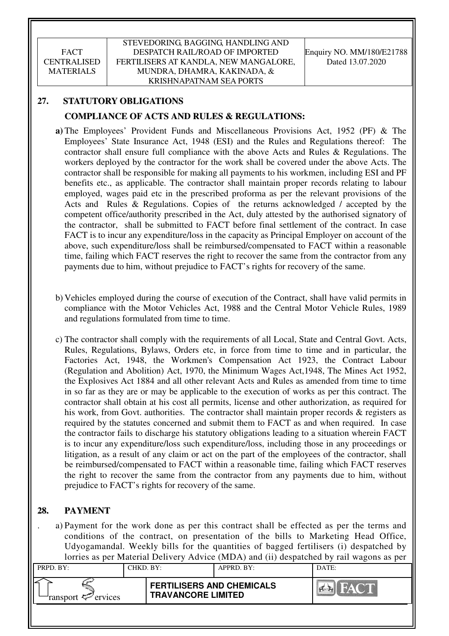# **27. STATUTORY OBLIGATIONS**

# **COMPLIANCE OF ACTS AND RULES & REGULATIONS:**

- **a)** The Employees' Provident Funds and Miscellaneous Provisions Act, 1952 (PF) & The Employees' State Insurance Act, 1948 (ESI) and the Rules and Regulations thereof: The contractor shall ensure full compliance with the above Acts and Rules & Regulations. The workers deployed by the contractor for the work shall be covered under the above Acts. The contractor shall be responsible for making all payments to his workmen, including ESI and PF benefits etc., as applicable. The contractor shall maintain proper records relating to labour employed, wages paid etc in the prescribed proforma as per the relevant provisions of the Acts and Rules & Regulations. Copies of the returns acknowledged / accepted by the competent office/authority prescribed in the Act, duly attested by the authorised signatory of the contractor, shall be submitted to FACT before final settlement of the contract. In case FACT is to incur any expenditure/loss in the capacity as Principal Employer on account of the above, such expenditure/loss shall be reimbursed/compensated to FACT within a reasonable time, failing which FACT reserves the right to recover the same from the contractor from any payments due to him, without prejudice to FACT's rights for recovery of the same.
- b) Vehicles employed during the course of execution of the Contract, shall have valid permits in compliance with the Motor Vehicles Act, 1988 and the Central Motor Vehicle Rules, 1989 and regulations formulated from time to time.
- c) The contractor shall comply with the requirements of all Local, State and Central Govt. Acts, Rules, Regulations, Bylaws, Orders etc, in force from time to time and in particular, the Factories Act, 1948, the Workmen's Compensation Act 1923, the Contract Labour (Regulation and Abolition) Act, 1970, the Minimum Wages Act,1948, The Mines Act 1952, the Explosives Act 1884 and all other relevant Acts and Rules as amended from time to time in so far as they are or may be applicable to the execution of works as per this contract. The contractor shall obtain at his cost all permits, license and other authorization, as required for his work, from Govt. authorities. The contractor shall maintain proper records & registers as required by the statutes concerned and submit them to FACT as and when required. In case the contractor fails to discharge his statutory obligations leading to a situation wherein FACT is to incur any expenditure/loss such expenditure/loss, including those in any proceedings or litigation, as a result of any claim or act on the part of the employees of the contractor, shall be reimbursed/compensated to FACT within a reasonable time, failing which FACT reserves the right to recover the same from the contractor from any payments due to him, without prejudice to FACT's rights for recovery of the same.

# **28. PAYMENT**

. a) Payment for the work done as per this contract shall be effected as per the terms and conditions of the contract, on presentation of the bills to Marketing Head Office, Udyogamandal. Weekly bills for the quantities of bagged fertilisers (i) despatched by lorries as per Material Delivery Advice (MDA) and (ii) despatched by rail wagons as per

|                               |           |                                                               | $\mu$ and $\mu$ and $\mu$ and $\mu$ and $\mu$ and $\mu$ and $\mu$ and $\mu$ and $\mu$ and $\mu$ and $\mu$ and $\mu$ |             |
|-------------------------------|-----------|---------------------------------------------------------------|---------------------------------------------------------------------------------------------------------------------|-------------|
| PRPD. BY:                     | CHKD. BY: |                                                               | APPRD. BY:                                                                                                          | DATE:       |
|                               |           |                                                               |                                                                                                                     |             |
| ransport <sup>2</sup> ervices |           | <b>FERTILISERS AND CHEMICALS</b><br><b>TRAVANCORE LIMITED</b> |                                                                                                                     | <b>FACT</b> |
|                               |           |                                                               |                                                                                                                     |             |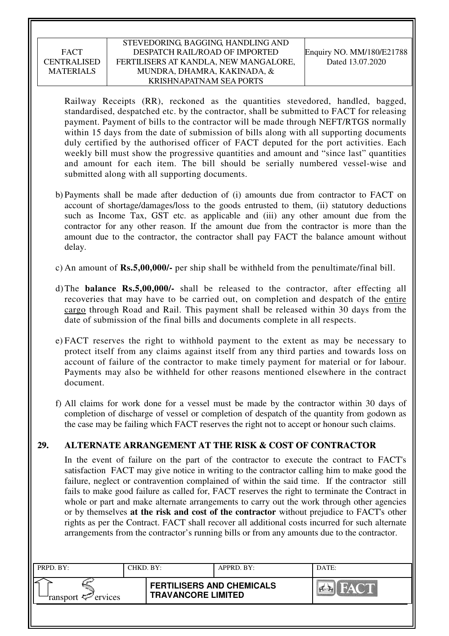### STEVEDORING, BAGGING, HANDLING AND DESPATCH RAIL/ROAD OF IMPORTED FERTILISERS AT KANDLA, NEW MANGALORE, MUNDRA, DHAMRA, KAKINADA, & KRISHNAPATNAM SEA PORTS

Railway Receipts (RR), reckoned as the quantities stevedored, handled, bagged, standardised, despatched etc. by the contractor, shall be submitted to FACT for releasing payment. Payment of bills to the contractor will be made through NEFT/RTGS normally within 15 days from the date of submission of bills along with all supporting documents duly certified by the authorised officer of FACT deputed for the port activities. Each weekly bill must show the progressive quantities and amount and "since last" quantities and amount for each item. The bill should be serially numbered vessel-wise and submitted along with all supporting documents.

- b) Payments shall be made after deduction of (i) amounts due from contractor to FACT on account of shortage/damages/loss to the goods entrusted to them, (ii) statutory deductions such as Income Tax, GST etc. as applicable and (iii) any other amount due from the contractor for any other reason. If the amount due from the contractor is more than the amount due to the contractor, the contractor shall pay FACT the balance amount without delay.
- c) An amount of **Rs.5,00,000/-** per ship shall be withheld from the penultimate/final bill.
- d) The **balance Rs.5,00,000/-** shall be released to the contractor, after effecting all recoveries that may have to be carried out, on completion and despatch of the entire cargo through Road and Rail. This payment shall be released within 30 days from the date of submission of the final bills and documents complete in all respects.
- e) FACT reserves the right to withhold payment to the extent as may be necessary to protect itself from any claims against itself from any third parties and towards loss on account of failure of the contractor to make timely payment for material or for labour. Payments may also be withheld for other reasons mentioned elsewhere in the contract document.
- f) All claims for work done for a vessel must be made by the contractor within 30 days of completion of discharge of vessel or completion of despatch of the quantity from godown as the case may be failing which FACT reserves the right not to accept or honour such claims.

### **29. ALTERNATE ARRANGEMENT AT THE RISK & COST OF CONTRACTOR**

In the event of failure on the part of the contractor to execute the contract to FACT's satisfaction FACT may give notice in writing to the contractor calling him to make good the failure, neglect or contravention complained of within the said time. If the contractor still fails to make good failure as called for, FACT reserves the right to terminate the Contract in whole or part and make alternate arrangements to carry out the work through other agencies or by themselves **at the risk and cost of the contractor** without prejudice to FACT's other rights as per the Contract. FACT shall recover all additional costs incurred for such alternate arrangements from the contractor's running bills or from any amounts due to the contractor.

| PRPD. BY:              | CHKD. BY: |                                                               | APPRD. BY: | DATE: |
|------------------------|-----------|---------------------------------------------------------------|------------|-------|
| ransport $\ll$ ervices |           | <b>FERTILISERS AND CHEMICALS</b><br><b>TRAVANCORE LIMITED</b> |            | HAYOT |
|                        |           |                                                               |            |       |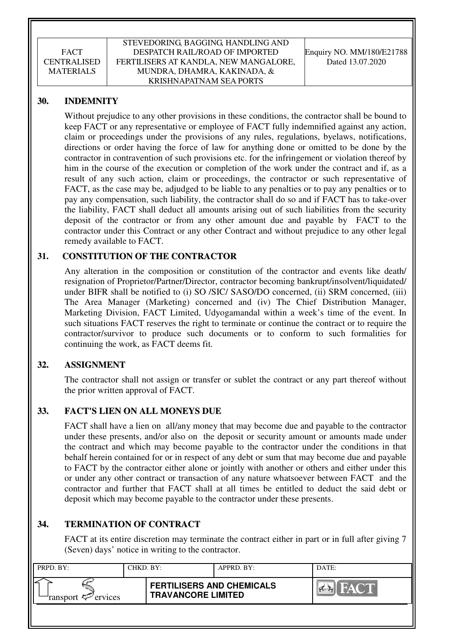### **30. INDEMNITY**

Without prejudice to any other provisions in these conditions, the contractor shall be bound to keep FACT or any representative or employee of FACT fully indemnified against any action, claim or proceedings under the provisions of any rules, regulations, byelaws, notifications, directions or order having the force of law for anything done or omitted to be done by the contractor in contravention of such provisions etc. for the infringement or violation thereof by him in the course of the execution or completion of the work under the contract and if, as a result of any such action, claim or proceedings, the contractor or such representative of FACT, as the case may be, adjudged to be liable to any penalties or to pay any penalties or to pay any compensation, such liability, the contractor shall do so and if FACT has to take-over the liability, FACT shall deduct all amounts arising out of such liabilities from the security deposit of the contractor or from any other amount due and payable by FACT to the contractor under this Contract or any other Contract and without prejudice to any other legal remedy available to FACT.

### **31. CONSTITUTION OF THE CONTRACTOR**

Any alteration in the composition or constitution of the contractor and events like death/ resignation of Proprietor/Partner/Director, contractor becoming bankrupt/insolvent/liquidated/ under BIFR shall be notified to (i) SO /SIC/ SASO/DO concerned, (ii) SRM concerned, (iii) The Area Manager (Marketing) concerned and (iv) The Chief Distribution Manager, Marketing Division, FACT Limited, Udyogamandal within a week's time of the event. In such situations FACT reserves the right to terminate or continue the contract or to require the contractor/survivor to produce such documents or to conform to such formalities for continuing the work, as FACT deems fit.

### **32. ASSIGNMENT**

The contractor shall not assign or transfer or sublet the contract or any part thereof without the prior written approval of FACT.

### **33. FACT'S LIEN ON ALL MONEYS DUE**

FACT shall have a lien on all/any money that may become due and payable to the contractor under these presents, and/or also on the deposit or security amount or amounts made under the contract and which may become payable to the contractor under the conditions in that behalf herein contained for or in respect of any debt or sum that may become due and payable to FACT by the contractor either alone or jointly with another or others and either under this or under any other contract or transaction of any nature whatsoever between FACT and the contractor and further that FACT shall at all times be entitled to deduct the said debt or deposit which may become payable to the contractor under these presents.

# **34. TERMINATION OF CONTRACT**

FACT at its entire discretion may terminate the contract either in part or in full after giving 7 (Seven) days' notice in writing to the contractor.

| PRPD. BY:              | CHKD. BY: |                                                               | APPRD. BY: | DATE:          |
|------------------------|-----------|---------------------------------------------------------------|------------|----------------|
| ransport $\ll$ ervices |           | <b>FERTILISERS AND CHEMICALS</b><br><b>TRAVANCORE LIMITED</b> |            | $\sum_{i=1}^n$ |
|                        |           |                                                               |            |                |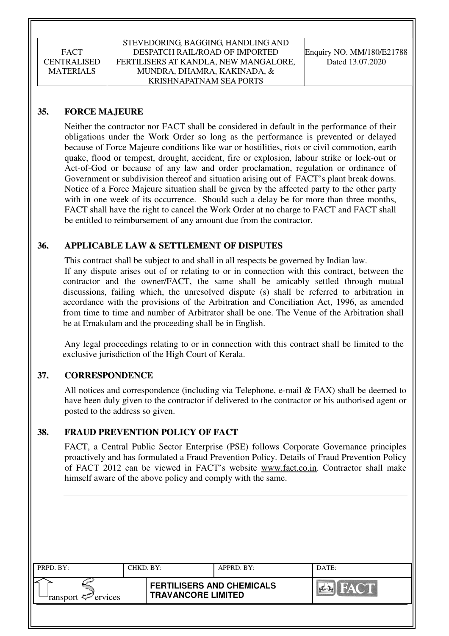### **35. FORCE MAJEURE**

Neither the contractor nor FACT shall be considered in default in the performance of their obligations under the Work Order so long as the performance is prevented or delayed because of Force Majeure conditions like war or hostilities, riots or civil commotion, earth quake, flood or tempest, drought, accident, fire or explosion, labour strike or lock-out or Act-of-God or because of any law and order proclamation, regulation or ordinance of Government or subdivision thereof and situation arising out of FACT's plant break downs. Notice of a Force Majeure situation shall be given by the affected party to the other party with in one week of its occurrence. Should such a delay be for more than three months, FACT shall have the right to cancel the Work Order at no charge to FACT and FACT shall be entitled to reimbursement of any amount due from the contractor.

### **36. APPLICABLE LAW & SETTLEMENT OF DISPUTES**

This contract shall be subject to and shall in all respects be governed by Indian law. If any dispute arises out of or relating to or in connection with this contract, between the contractor and the owner/FACT, the same shall be amicably settled through mutual discussions, failing which, the unresolved dispute (s) shall be referred to arbitration in accordance with the provisions of the Arbitration and Conciliation Act, 1996, as amended from time to time and number of Arbitrator shall be one. The Venue of the Arbitration shall be at Ernakulam and the proceeding shall be in English.

 Any legal proceedings relating to or in connection with this contract shall be limited to the exclusive jurisdiction of the High Court of Kerala.

### **37. CORRESPONDENCE**

All notices and correspondence (including via Telephone, e-mail & FAX) shall be deemed to have been duly given to the contractor if delivered to the contractor or his authorised agent or posted to the address so given.

### **38. FRAUD PREVENTION POLICY OF FACT**

FACT, a Central Public Sector Enterprise (PSE) follows Corporate Governance principles proactively and has formulated a Fraud Prevention Policy. Details of Fraud Prevention Policy of FACT 2012 can be viewed in FACT's website www.fact.co.in. Contractor shall make himself aware of the above policy and comply with the same.

| PRPD. BY:                     | CHKD. BY: |                                                               | APPRD. BY: | DATE:          |
|-------------------------------|-----------|---------------------------------------------------------------|------------|----------------|
| ransport <sup>2</sup> ervices |           | <b>FERTILISERS AND CHEMICALS</b><br><b>TRAVANCORE LIMITED</b> |            | <b>Ex</b> FACT |
|                               |           |                                                               |            |                |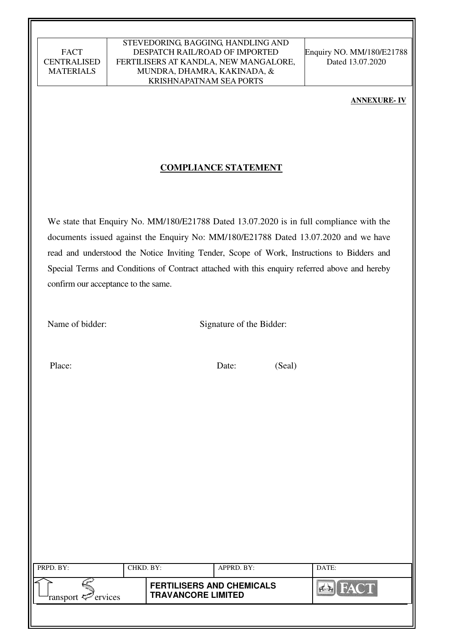#### STEVEDORING, BAGGING, HANDLING AND DESPATCH RAIL/ROAD OF IMPORTED FERTILISERS AT KANDLA, NEW MANGALORE, MUNDRA, DHAMRA, KAKINADA, & KRISHNAPATNAM SEA PORTS

Enquiry NO. MM/180/E21788 Dated 13.07.2020

#### **ANNEXURE- IV**

#### **COMPLIANCE STATEMENT**

We state that Enquiry No. MM/180/E21788 Dated 13.07.2020 is in full compliance with the documents issued against the Enquiry No: MM/180/E21788 Dated 13.07.2020 and we have read and understood the Notice Inviting Tender, Scope of Work, Instructions to Bidders and Special Terms and Conditions of Contract attached with this enquiry referred above and hereby confirm our acceptance to the same.

Name of bidder: Signature of the Bidder:

Place: Date: (Seal)

| PRPD. BY:                     | CHKD. BY: |                                                               | APPRD. BY: | DATE:          |
|-------------------------------|-----------|---------------------------------------------------------------|------------|----------------|
| ransport <sup>2</sup> ervices |           | <b>FERTILISERS AND CHEMICALS</b><br><b>TRAVANCORE LIMITED</b> |            | <b>Clearly</b> |
|                               |           |                                                               |            |                |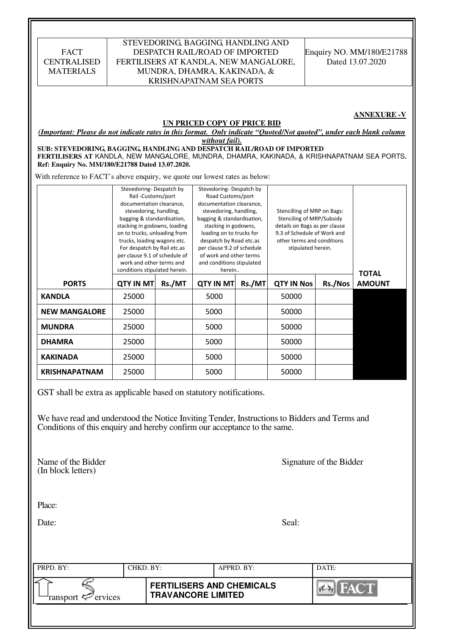| Place:<br>Date:<br>PRPD. BY:                                                                                                                                                                  | CHKD. BY:                                                                                                                                                                                                                                                                                                                                                    |        |                                                                                                                                                                                                                                                                                                                 | APPRD. BY: |                                                                                                                                                                              | DATE:                   |                               |
|-----------------------------------------------------------------------------------------------------------------------------------------------------------------------------------------------|--------------------------------------------------------------------------------------------------------------------------------------------------------------------------------------------------------------------------------------------------------------------------------------------------------------------------------------------------------------|--------|-----------------------------------------------------------------------------------------------------------------------------------------------------------------------------------------------------------------------------------------------------------------------------------------------------------------|------------|------------------------------------------------------------------------------------------------------------------------------------------------------------------------------|-------------------------|-------------------------------|
|                                                                                                                                                                                               |                                                                                                                                                                                                                                                                                                                                                              |        |                                                                                                                                                                                                                                                                                                                 |            |                                                                                                                                                                              |                         |                               |
|                                                                                                                                                                                               |                                                                                                                                                                                                                                                                                                                                                              |        |                                                                                                                                                                                                                                                                                                                 |            |                                                                                                                                                                              |                         |                               |
|                                                                                                                                                                                               |                                                                                                                                                                                                                                                                                                                                                              |        |                                                                                                                                                                                                                                                                                                                 |            | Seal:                                                                                                                                                                        |                         |                               |
|                                                                                                                                                                                               |                                                                                                                                                                                                                                                                                                                                                              |        |                                                                                                                                                                                                                                                                                                                 |            |                                                                                                                                                                              |                         |                               |
| Name of the Bidder<br>(In block letters)                                                                                                                                                      |                                                                                                                                                                                                                                                                                                                                                              |        |                                                                                                                                                                                                                                                                                                                 |            |                                                                                                                                                                              | Signature of the Bidder |                               |
| We have read and understood the Notice Inviting Tender, Instructions to Bidders and Terms and<br>Conditions of this enquiry and hereby confirm our acceptance to the same.                    |                                                                                                                                                                                                                                                                                                                                                              |        |                                                                                                                                                                                                                                                                                                                 |            |                                                                                                                                                                              |                         |                               |
| GST shall be extra as applicable based on statutory notifications.                                                                                                                            |                                                                                                                                                                                                                                                                                                                                                              |        |                                                                                                                                                                                                                                                                                                                 |            |                                                                                                                                                                              |                         |                               |
| <b>KRISHNAPATNAM</b>                                                                                                                                                                          | 25000                                                                                                                                                                                                                                                                                                                                                        |        | 5000                                                                                                                                                                                                                                                                                                            |            | 50000                                                                                                                                                                        |                         |                               |
| <b>KAKINADA</b>                                                                                                                                                                               | 25000                                                                                                                                                                                                                                                                                                                                                        |        | 5000                                                                                                                                                                                                                                                                                                            |            | 50000                                                                                                                                                                        |                         |                               |
| <b>DHAMRA</b>                                                                                                                                                                                 | 25000                                                                                                                                                                                                                                                                                                                                                        |        | 5000                                                                                                                                                                                                                                                                                                            |            | 50000                                                                                                                                                                        |                         |                               |
| <b>MUNDRA</b>                                                                                                                                                                                 | 25000                                                                                                                                                                                                                                                                                                                                                        |        | 5000                                                                                                                                                                                                                                                                                                            |            | 50000                                                                                                                                                                        |                         |                               |
| <b>NEW MANGALORE</b>                                                                                                                                                                          | 25000                                                                                                                                                                                                                                                                                                                                                        |        | 5000                                                                                                                                                                                                                                                                                                            |            | 50000                                                                                                                                                                        |                         |                               |
| <b>KANDLA</b>                                                                                                                                                                                 | 25000                                                                                                                                                                                                                                                                                                                                                        |        | 5000                                                                                                                                                                                                                                                                                                            |            | 50000                                                                                                                                                                        |                         |                               |
| <b>PORTS</b>                                                                                                                                                                                  | <b>QTY IN MT</b>                                                                                                                                                                                                                                                                                                                                             | Rs./MT | <b>QTY IN MT</b>                                                                                                                                                                                                                                                                                                | Rs./MT     | <b>QTY IN Nos</b>                                                                                                                                                            | Rs./Nos                 | <b>TOTAL</b><br><b>AMOUNT</b> |
| With reference to FACT's above enquiry, we quote our lowest rates as below:                                                                                                                   | Stevedoring-Despatch by<br>Rail-Customs/port<br>documentation clearance,<br>stevedoring, handling,<br>bagging & standardisation,<br>stacking in godowns, loading<br>on to trucks, unloading from<br>trucks, loading wagons etc.<br>For despatch by Rail etc.as<br>per clause 9.1 of schedule of<br>work and other terms and<br>conditions stipulated herein. |        | Stevedoring-Despatch by<br>Road Customs/port<br>documentation clearance,<br>stevedoring, handling,<br>bagging & standardisation,<br>stacking in godowns,<br>loading on to trucks for<br>despatch by Road etc.as<br>per clause 9.2 of schedule<br>of work and other terms<br>and conditions stipulated<br>herein |            | Stencilling of MRP on Bags:<br>Stenciling of MRP/Subsidy<br>details on Bags as per clause<br>9.3 of Schedule of Work and<br>other terms and conditions<br>stipulated herein. |                         |                               |
| FERTILISERS AT KANDLA, NEW MANGALORE, MUNDRA, DHAMRA, KAKINADA, & KRISHNAPATNAM SEA PORTS.<br>Ref: Enquiry No. MM/180/E21788 Dated 13.07.2020.                                                |                                                                                                                                                                                                                                                                                                                                                              |        |                                                                                                                                                                                                                                                                                                                 |            |                                                                                                                                                                              |                         |                               |
| (Important: Please do not indicate rates in this format. Only indicate "Ouoted/Not quoted", under each blank column<br>SUB: STEVEDORING, BAGGING, HANDLING AND DESPATCH RAIL/ROAD OF IMPORTED |                                                                                                                                                                                                                                                                                                                                                              |        | UN PRICED COPY OF PRICE BID<br>without fail).                                                                                                                                                                                                                                                                   |            |                                                                                                                                                                              |                         | <b>ANNEXURE -V</b>            |
|                                                                                                                                                                                               |                                                                                                                                                                                                                                                                                                                                                              |        |                                                                                                                                                                                                                                                                                                                 |            |                                                                                                                                                                              |                         |                               |
| <b>FACT</b><br><b>CENTRALISED</b><br><b>MATERIALS</b>                                                                                                                                         |                                                                                                                                                                                                                                                                                                                                                              |        | DESPATCH RAIL/ROAD OF IMPORTED<br>FERTILISERS AT KANDLA, NEW MANGALORE,<br>MUNDRA, DHAMRA, KAKINADA, &                                                                                                                                                                                                          |            |                                                                                                                                                                              |                         | Dated 13.07.2020              |
|                                                                                                                                                                                               |                                                                                                                                                                                                                                                                                                                                                              |        | STEVEDORING, BAGGING, HANDLING AND<br><b>KRISHNAPATNAM SEA PORTS</b>                                                                                                                                                                                                                                            |            |                                                                                                                                                                              |                         | Enquiry NO. MM/180/E21788     |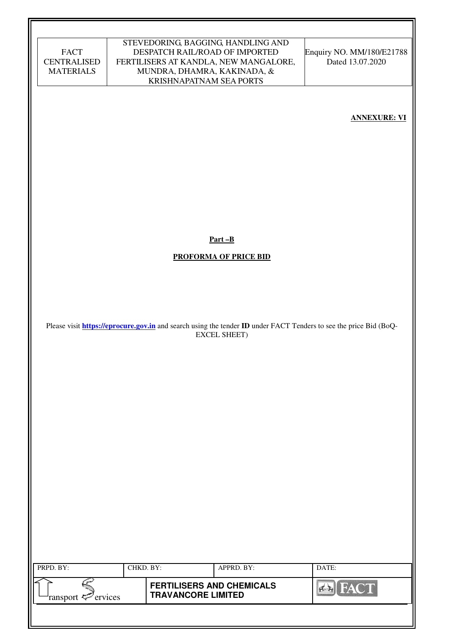|                                        |           |                           | STEVEDORING, BAGGING, HANDLING AND                                   |                                                                                                                                 |
|----------------------------------------|-----------|---------------------------|----------------------------------------------------------------------|---------------------------------------------------------------------------------------------------------------------------------|
| <b>FACT</b>                            |           |                           | DESPATCH RAIL/ROAD OF IMPORTED                                       | Enquiry NO. MM/180/E21788                                                                                                       |
| <b>CENTRALISED</b><br><b>MATERIALS</b> |           |                           | FERTILISERS AT KANDLA, NEW MANGALORE,<br>MUNDRA, DHAMRA, KAKINADA, & | Dated 13.07.2020                                                                                                                |
|                                        |           | KRISHNAPATNAM SEA PORTS   |                                                                      |                                                                                                                                 |
|                                        |           |                           |                                                                      |                                                                                                                                 |
|                                        |           |                           |                                                                      |                                                                                                                                 |
|                                        |           |                           |                                                                      | <b>ANNEXURE: VI</b>                                                                                                             |
|                                        |           |                           |                                                                      |                                                                                                                                 |
|                                        |           |                           |                                                                      |                                                                                                                                 |
|                                        |           |                           |                                                                      |                                                                                                                                 |
|                                        |           |                           |                                                                      |                                                                                                                                 |
|                                        |           |                           |                                                                      |                                                                                                                                 |
|                                        |           |                           |                                                                      |                                                                                                                                 |
|                                        |           |                           |                                                                      |                                                                                                                                 |
|                                        |           |                           |                                                                      |                                                                                                                                 |
|                                        |           |                           |                                                                      |                                                                                                                                 |
|                                        |           |                           |                                                                      |                                                                                                                                 |
|                                        |           |                           | $Part - B$                                                           |                                                                                                                                 |
|                                        |           |                           |                                                                      |                                                                                                                                 |
|                                        |           |                           | <b>PROFORMA OF PRICE BID</b>                                         |                                                                                                                                 |
|                                        |           |                           |                                                                      |                                                                                                                                 |
|                                        |           |                           |                                                                      |                                                                                                                                 |
|                                        |           |                           |                                                                      |                                                                                                                                 |
|                                        |           |                           |                                                                      |                                                                                                                                 |
|                                        |           |                           |                                                                      |                                                                                                                                 |
|                                        |           |                           | <b>EXCEL SHEET)</b>                                                  | Please visit <b>https://eprocure.gov.in</b> and search using the tender <b>ID</b> under FACT Tenders to see the price Bid (BoQ- |
|                                        |           |                           |                                                                      |                                                                                                                                 |
|                                        |           |                           |                                                                      |                                                                                                                                 |
|                                        |           |                           |                                                                      |                                                                                                                                 |
|                                        |           |                           |                                                                      |                                                                                                                                 |
|                                        |           |                           |                                                                      |                                                                                                                                 |
|                                        |           |                           |                                                                      |                                                                                                                                 |
|                                        |           |                           |                                                                      |                                                                                                                                 |
|                                        |           |                           |                                                                      |                                                                                                                                 |
|                                        |           |                           |                                                                      |                                                                                                                                 |
|                                        |           |                           |                                                                      |                                                                                                                                 |
|                                        |           |                           |                                                                      |                                                                                                                                 |
|                                        |           |                           |                                                                      |                                                                                                                                 |
|                                        |           |                           |                                                                      |                                                                                                                                 |
|                                        |           |                           |                                                                      |                                                                                                                                 |
|                                        |           |                           |                                                                      |                                                                                                                                 |
|                                        |           |                           |                                                                      |                                                                                                                                 |
|                                        |           |                           |                                                                      |                                                                                                                                 |
|                                        |           |                           |                                                                      |                                                                                                                                 |
|                                        |           |                           |                                                                      |                                                                                                                                 |
|                                        |           |                           |                                                                      |                                                                                                                                 |
| PRPD. BY:                              | CHKD. BY: |                           | APPRD. BY:                                                           | DATE:                                                                                                                           |
|                                        |           |                           | <b>FERTILISERS AND CHEMICALS</b>                                     |                                                                                                                                 |
| ransport <sup>2</sup> ervices          |           | <b>TRAVANCORE LIMITED</b> |                                                                      | <b>EX</b> FACT                                                                                                                  |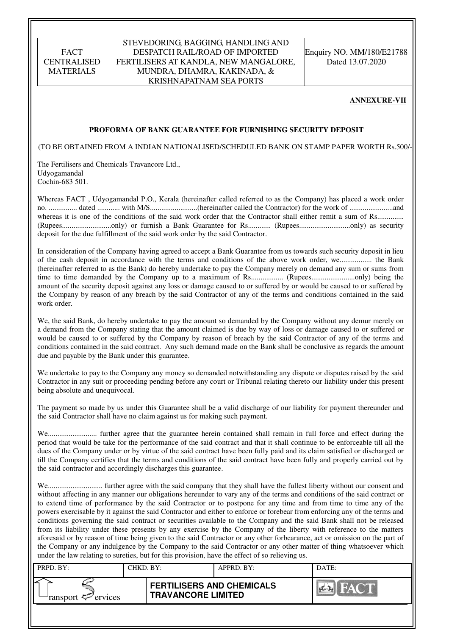#### STEVEDORING, BAGGING, HANDLING AND DESPATCH RAIL/ROAD OF IMPORTED FERTILISERS AT KANDLA, NEW MANGALORE, MUNDRA, DHAMRA, KAKINADA, & KRISHNAPATNAM SEA PORTS

Enquiry NO. MM/180/E21788 Dated 13.07.2020

#### **ANNEXURE-VII**

#### **PROFORMA OF BANK GUARANTEE FOR FURNISHING SECURITY DEPOSIT**

(TO BE OBTAINED FROM A INDIAN NATIONALISED/SCHEDULED BANK ON STAMP PAPER WORTH Rs.500/-)

The Fertilisers and Chemicals Travancore Ltd., Udyogamandal Cochin-683 501.

Whereas FACT , Udyogamandal P.O., Kerala (hereinafter called referred to as the Company) has placed a work order no. ............... dated ............ with M/S.........................(hereinafter called the Contractor) for the work of .......................and whereas it is one of the conditions of the said work order that the Contractor shall either remit a sum of Rs.............. (Rupees..........................only) or furnish a Bank Guarantee for Rs............ (Rupees...........................only) as security deposit for the due fulfillment of the said work order by the said Contractor.

In consideration of the Company having agreed to accept a Bank Guarantee from us towards such security deposit in lieu of the cash deposit in accordance with the terms and conditions of the above work order, we................. the Bank (hereinafter referred to as the Bank) do hereby undertake to pay the Company merely on demand any sum or sums from time to time demanded by the Company up to a maximum of Rs................. (Rupees.......................only) being the amount of the security deposit against any loss or damage caused to or suffered by or would be caused to or suffered by the Company by reason of any breach by the said Contractor of any of the terms and conditions contained in the said work order.

We, the said Bank, do hereby undertake to pay the amount so demanded by the Company without any demur merely on a demand from the Company stating that the amount claimed is due by way of loss or damage caused to or suffered or would be caused to or suffered by the Company by reason of breach by the said Contractor of any of the terms and conditions contained in the said contract. Any such demand made on the Bank shall be conclusive as regards the amount due and payable by the Bank under this guarantee.

We undertake to pay to the Company any money so demanded notwithstanding any dispute or disputes raised by the said Contractor in any suit or proceeding pending before any court or Tribunal relating thereto our liability under this present being absolute and unequivocal.

The payment so made by us under this Guarantee shall be a valid discharge of our liability for payment thereunder and the said Contractor shall have no claim against us for making such payment.

We.......................... further agree that the guarantee herein contained shall remain in full force and effect during the period that would be take for the performance of the said contract and that it shall continue to be enforceable till all the dues of the Company under or by virtue of the said contract have been fully paid and its claim satisfied or discharged or till the Company certifies that the terms and conditions of the said contract have been fully and properly carried out by the said contractor and accordingly discharges this guarantee.

We............................. further agree with the said company that they shall have the fullest liberty without our consent and without affecting in any manner our obligations hereunder to vary any of the terms and conditions of the said contract or to extend time of performance by the said Contractor or to postpone for any time and from time to time any of the powers exercisable by it against the said Contractor and either to enforce or forebear from enforcing any of the terms and conditions governing the said contract or securities available to the Company and the said Bank shall not be released from its liability under these presents by any exercise by the Company of the liberty with reference to the matters aforesaid or by reason of time being given to the said Contractor or any other forbearance, act or omission on the part of the Company or any indulgence by the Company to the said Contractor or any other matter of thing whatsoever which under the law relating to sureties, but for this provision, have the effect of so relieving us.

| PRPD. BY:              | CHKD. BY: |                                                               | APPRD. BY: | DATE:        |
|------------------------|-----------|---------------------------------------------------------------|------------|--------------|
| ransport $\ll$ ervices |           | <b>FERTILISERS AND CHEMICALS</b><br><b>TRAVANCORE LIMITED</b> |            | <b>ELANT</b> |
|                        |           |                                                               |            |              |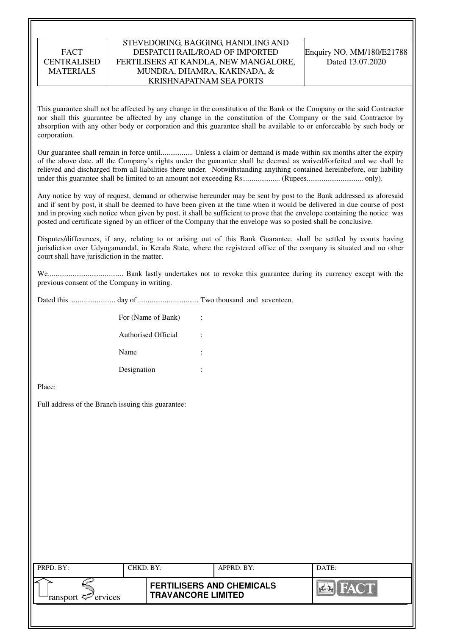#### STEVEDORING, BAGGING, HANDLING AND DESPATCH RAIL/ROAD OF IMPORTED FERTILISERS AT KANDLA, NEW MANGALORE, MUNDRA, DHAMRA, KAKINADA, & KRISHNAPATNAM SEA PORTS

Enquiry NO. MM/180/E21788 Dated 13.07.2020

This guarantee shall not be affected by any change in the constitution of the Bank or the Company or the said Contractor nor shall this guarantee be affected by any change in the constitution of the Company or the said Contractor by absorption with any other body or corporation and this guarantee shall be available to or enforceable by such body or corporation.

Our guarantee shall remain in force until................. Unless a claim or demand is made within six months after the expiry of the above date, all the Company's rights under the guarantee shall be deemed as waived/forfeited and we shall be relieved and discharged from all liabilities there under. Notwithstanding anything contained hereinbefore, our liability under this guarantee shall be limited to an amount not exceeding Rs.................... (Rupees.............................. only).

Any notice by way of request, demand or otherwise hereunder may be sent by post to the Bank addressed as aforesaid and if sent by post, it shall be deemed to have been given at the time when it would be delivered in due course of post and in proving such notice when given by post, it shall be sufficient to prove that the envelope containing the notice was posted and certificate signed by an officer of the Company that the envelope was so posted shall be conclusive.

Disputes/differences, if any, relating to or arising out of this Bank Guarantee, shall be settled by courts having jurisdiction over Udyogamandal, in Kerala State, where the registered office of the company is situated and no other court shall have jurisdiction in the matter.

We........................................ Bank lastly undertakes not to revoke this guarantee during its currency except with the previous consent of the Company in writing.

Dated this ........................ day of ................................ Two thousand and seventeen.

| For (Name of Bank)         | ÷      |
|----------------------------|--------|
| <b>Authorised Official</b> | ٠<br>٠ |
| Name                       | ٠<br>٠ |
| Designation                | ٠<br>٠ |

Place:

Full address of the Branch issuing this guarantee:

| PRPD. BY:              | CHKD. BY: |                                                               | APPRD. BY: | DATE: |
|------------------------|-----------|---------------------------------------------------------------|------------|-------|
| ransport $\ll$ ervices |           | <b>FERTILISERS AND CHEMICALS</b><br><b>TRAVANCORE LIMITED</b> |            | FACT. |
|                        |           |                                                               |            |       |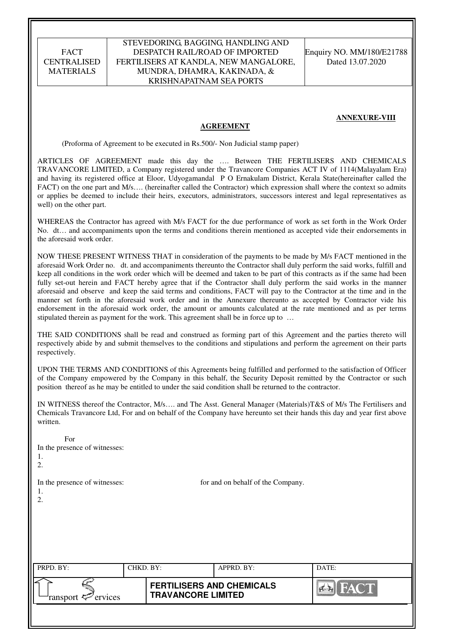#### STEVEDORING, BAGGING, HANDLING AND DESPATCH RAIL/ROAD OF IMPORTED FERTILISERS AT KANDLA, NEW MANGALORE, MUNDRA, DHAMRA, KAKINADA, & KRISHNAPATNAM SEA PORTS

Enquiry NO. MM/180/E21788 Dated 13.07.2020

#### **ANNEXURE-VIII**

#### **AGREEMENT**

(Proforma of Agreement to be executed in Rs.500/- Non Judicial stamp paper)

ARTICLES OF AGREEMENT made this day the …. Between THE FERTILISERS AND CHEMICALS TRAVANCORE LIMITED, a Company registered under the Travancore Companies ACT IV of 1114(Malayalam Era) and having its registered office at Eloor, Udyogamandal P O Ernakulam District, Kerala State(hereinafter called the FACT) on the one part and M/s.... (hereinafter called the Contractor) which expression shall where the context so admits or applies be deemed to include their heirs, executors, administrators, successors interest and legal representatives as well) on the other part.

WHEREAS the Contractor has agreed with M/s FACT for the due performance of work as set forth in the Work Order No. dt… and accompaniments upon the terms and conditions therein mentioned as accepted vide their endorsements in the aforesaid work order.

NOW THESE PRESENT WITNESS THAT in consideration of the payments to be made by M/s FACT mentioned in the aforesaid Work Order no. dt. and accompaniments thereunto the Contractor shall duly perform the said works, fulfill and keep all conditions in the work order which will be deemed and taken to be part of this contracts as if the same had been fully set-out herein and FACT hereby agree that if the Contractor shall duly perform the said works in the manner aforesaid and observe and keep the said terms and conditions, FACT will pay to the Contractor at the time and in the manner set forth in the aforesaid work order and in the Annexure thereunto as accepted by Contractor vide his endorsement in the aforesaid work order, the amount or amounts calculated at the rate mentioned and as per terms stipulated therein as payment for the work. This agreement shall be in force up to …

THE SAID CONDITIONS shall be read and construed as forming part of this Agreement and the parties thereto will respectively abide by and submit themselves to the conditions and stipulations and perform the agreement on their parts respectively.

UPON THE TERMS AND CONDITIONS of this Agreements being fulfilled and performed to the satisfaction of Officer of the Company empowered by the Company in this behalf, the Security Deposit remitted by the Contractor or such position thereof as he may be entitled to under the said condition shall be returned to the contractor.

IN WITNESS thereof the Contractor, M/s…. and The Asst. General Manager (Materials)T&S of M/s The Fertilisers and Chemicals Travancore Ltd, For and on behalf of the Company have hereunto set their hands this day and year first above written.

| For<br>In the presence of witnesses:<br>1.<br>2. |           |                                                               |                                   |             |
|--------------------------------------------------|-----------|---------------------------------------------------------------|-----------------------------------|-------------|
| In the presence of witnesses:<br>1.<br>2.        |           |                                                               | for and on behalf of the Company. |             |
| PRPD. BY:                                        | CHKD. BY: |                                                               | APPRD. BY:                        | DATE:       |
| ervices<br>ransport <del>に</del>                 |           | <b>FERTILISERS AND CHEMICALS</b><br><b>TRAVANCORE LIMITED</b> |                                   | <b>FACT</b> |
|                                                  |           |                                                               |                                   |             |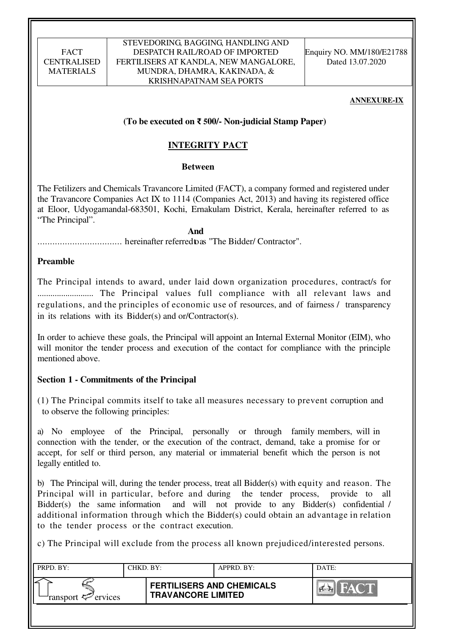#### STEVEDORING, BAGGING, HANDLING AND DESPATCH RAIL/ROAD OF IMPORTED FERTILISERS AT KANDLA, NEW MANGALORE, MUNDRA, DHAMRA, KAKINADA, & KRISHNAPATNAM SEA PORTS

Enquiry NO. MM/180/E21788 Dated 13.07.2020

#### **ANNEXURE-IX**

### **(To be executed on** ₹ **500/- Non-judicial Stamp Paper)**

# **INTEGRITY PACT**

#### **Between**

The Fetilizers and Chemicals Travancore Limited (FACT), a company formed and registered under the Travancore Companies Act IX to 1114 (Companies Act, 2013) and having its registered office at Eloor, Udyogamandal-683501, Kochi, Ernakulam District, Kerala, hereinafter referred to as "The Principal".

### **And**

.................................. hereinafter referred to as "The Bidder/ Contractor".

### **Preamble**

The Principal intends to award, under laid down organization procedures, contract/s for .......................... The Principal values full compliance with all relevant laws and regulations, and the principles of economic use of resources, and of fairness / transparency in its relations with its Bidder(s) and or/Contractor(s).

In order to achieve these goals, the Principal will appoint an Internal External Monitor (EIM), who will monitor the tender process and execution of the contact for compliance with the principle mentioned above.

### **Section 1 - Commitments of the Principal**

(1) The Principal commits itself to take all measures necessary to prevent corruption and to observe the following principles:

a) No employee of the Principal, personally or through family members, will in connection with the tender, or the execution of the contract, demand, take a promise for or accept, for self or third person, any material or immaterial benefit which the person is not legally entitled to.

b) The Principal will, during the tender process, treat all Bidder(s) with equity and reason. The Principal will in particular, before and during the tender process, provide to all Bidder(s) the same information and will not provide to any Bidder(s) confidential / additional information through which the Bidder(s) could obtain an advantage in relation to the tender process or the contract execution.

c) The Principal will exclude from the process all known prejudiced/interested persons.

| PRPD. BY:              | CHKD. BY: |                                                               | APPRD. BY: | DATE: |
|------------------------|-----------|---------------------------------------------------------------|------------|-------|
| ransport $\ll$ ervices |           | <b>FERTILISERS AND CHEMICALS</b><br><b>TRAVANCORE LIMITED</b> |            | FACT  |
|                        |           |                                                               |            |       |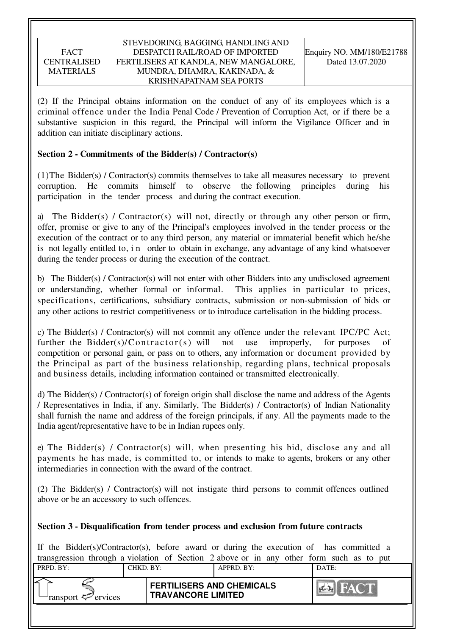(2) If the Principal obtains information on the conduct of any of its employees which is a criminal offence under the India Penal Code / Prevention of Corruption Act, or if there be a substantive suspicion in this regard, the Principal will inform the Vigilance Officer and in addition can initiate disciplinary actions.

### **Section 2 - Commitments of the Bidder(s) / Contractor(s)**

(1)The Bidder(s) / Contractor(s) commits themselves to take all measures necessary to prevent corruption. He commits himself to observe the following principles during his participation in the tender process and during the contract execution.

a) The Bidder(s) / Contractor(s) will not, directly or through any other person or firm, offer, promise or give to any of the Principal's employees involved in the tender process or the execution of the contract or to any third person, any material or immaterial benefit which he/she is not legally entitled to, i n order to obtain in exchange, any advantage of any kind whatsoever during the tender process or during the execution of the contract.

b) The Bidder(s) / Contractor(s) will not enter with other Bidders into any undisclosed agreement or understanding, whether formal or informal. This applies in particular to prices, specifications, certifications, subsidiary contracts, submission or non-submission of bids or any other actions to restrict competitiveness or to introduce cartelisation in the bidding process.

c) The Bidder(s) / Contractor(s) will not commit any offence under the relevant IPC/PC Act; further the Bidder(s)/C ontractor(s) will not use improperly, for purposes of competition or personal gain, or pass on to others, any information or document provided by the Principal as part of the business relationship, regarding plans, technical proposals and business details, including information contained or transmitted electronically.

d) The Bidder(s) / Contractor(s) of foreign origin shall disclose the name and address of the Agents / Representatives in India, if any. Similarly, The Bidder(s) / Contractor(s) of Indian Nationality shall furnish the name and address of the foreign principals, if any. All the payments made to the India agent/representative have to be in Indian rupees only.

e) The Bidder(s) / Contractor(s) will, when presenting his bid, disclose any and all payments he has made, is committed to, or intends to make to agents, brokers or any other intermediaries in connection with the award of the contract.

(2) The Bidder(s) / Contractor(s) will not instigate third persons to commit offences outlined above or be an accessory to such offences.

### **Section 3 - Disqualification from tender process and exclusion from future contracts**

If the Bidder(s)/Contractor(s), before award or during the execution of has committed a transgression through a violation of Section 2 above or in any other form such as to put

| PRPD. BY:          | CHKD. BY: |                                                               | $APPRD$ . BY: | DATE:      |
|--------------------|-----------|---------------------------------------------------------------|---------------|------------|
| ransport < ervices |           | <b>FERTILISERS AND CHEMICALS</b><br><b>TRAVANCORE LIMITED</b> |               | $N \geq 1$ |
|                    |           |                                                               |               |            |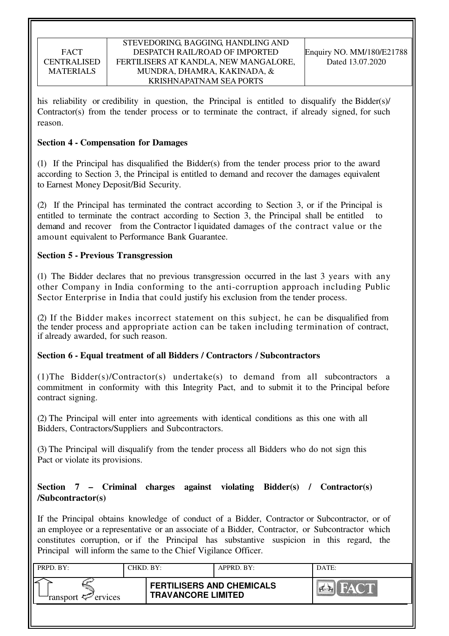#### STEVEDORING, BAGGING, HANDLING AND DESPATCH RAIL/ROAD OF IMPORTED FERTILISERS AT KANDLA, NEW MANGALORE, MUNDRA, DHAMRA, KAKINADA, & KRISHNAPATNAM SEA PORTS

his reliability or credibility in question, the Principal is entitled to disqualify the Bidder(s)/ Contractor(s) from the tender process or to terminate the contract, if already signed, for such reason.

### **Section 4 - Compensation for Damages**

(1) If the Principal has disqualified the Bidder(s) from the tender process prior to the award according to Section 3, the Principal is entitled to demand and recover the damages equivalent to Earnest Money Deposit/Bid Security.

(2) If the Principal has terminated the contract according to Section 3, or if the Principal is entitled to terminate the contract according to Section 3, the Principal shall be entitled demand and recover from the Contractor l iquidated damages of the contract value or the amount equivalent to Performance Bank Guarantee.

### **Section 5 - Previous Transgression**

(1) The Bidder declares that no previous transgression occurred in the last 3 years with any other Company in India conforming to the anti-corruption approach including Public Sector Enterprise in India that could justify his exclusion from the tender process.

(2) If the Bidder makes incorrect statement on this subject, he can be disqualified from the tender process and appropriate action can be taken including termination of contract, if already awarded, for such reason.

### **Section 6 - Equal treatment of all Bidders / Contractors / Subcontractors**

(1)The Bidder(s)/Contractor(s) undertake(s) to demand from all subcontractors a commitment in conformity with this Integrity Pact, and to submit it to the Principal before contract signing.

(2) The Principal will enter into agreements with identical conditions as this one with all Bidders, Contractors/Suppliers and Subcontractors.

(3) The Principal will disqualify from the tender process all Bidders who do not sign this Pact or violate its provisions.

### **Section 7 – Criminal charges against violating Bidder(s) / Contractor(s) /Subcontractor(s)**

If the Principal obtains knowledge of conduct of a Bidder, Contractor or Subcontractor, or of an employee or a representative or an associate of a Bidder, Contractor, or Subcontractor which constitutes corruption, or if the Principal has substantive suspicion in this regard, the Principal will inform the same to the Chief Vigilance Officer.

| PRPD. BY:                      | CHKD. BY: |                                                               | APPRD. BY: | DATE: |
|--------------------------------|-----------|---------------------------------------------------------------|------------|-------|
| ransport $\mathcal{P}$ ervices |           | <b>FERTILISERS AND CHEMICALS</b><br><b>TRAVANCORE LIMITED</b> |            | FACT  |
|                                |           |                                                               |            |       |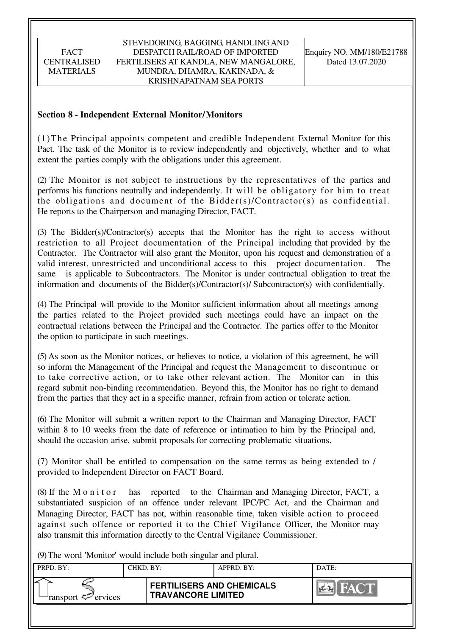### **Section 8 - Independent External Monitor/Monitors**

(1)The Principal appoints competent and credible Independent External Monitor for this Pact. The task of the Monitor is to review independently and objectively, whether and to what extent the parties comply with the obligations under this agreement.

(2) The Monitor is not subject to instructions by the representatives of the parties and performs his functions neutrally and independently. It will be obligatory for him to treat the obligations and document of the Bidder(s)/Contractor(s) as confidential. He reports to the Chairperson and managing Director, FACT.

(3) The Bidder(s)/Contractor(s) accepts that the Monitor has the right to access without restriction to all Project documentation of the Principal including that provided by the Contractor. The Contractor will also grant the Monitor, upon his request and demonstration of a valid interest, unrestricted and unconditional access to this project documentation. The same is applicable to Subcontractors. The Monitor is under contractual obligation to treat the information and documents of the Bidder(s)/Contractor(s)/ Subcontractor(s) with confidentially.

(4) The Principal will provide to the Monitor sufficient information about all meetings among the parties related to the Project provided such meetings could have an impact on the contractual relations between the Principal and the Contractor. The parties offer to the Monitor the option to participate in such meetings.

(5) As soon as the Monitor notices, or believes to notice, a violation of this agreement, he will so inform the Management of the Principal and request the Management to discontinue or to take corrective action, or to take other relevant action. The Monitor can in this regard submit non-binding recommendation. Beyond this, the Monitor has no right to demand from the parties that they act in a specific manner, refrain from action or tolerate action.

(6) The Monitor will submit a written report to the Chairman and Managing Director, FACT within 8 to 10 weeks from the date of reference or intimation to him by the Principal and, should the occasion arise, submit proposals for correcting problematic situations.

(7) Monitor shall be entitled to compensation on the same terms as being extended to / provided to Independent Director on FACT Board.

(8) If the M o n i t o r has reported to the Chairman and Managing Director, FACT, a substantiated suspicion of an offence under relevant IPC/PC Act, and the Chairman and Managing Director, FACT has not, within reasonable time, taken visible action to proceed against such offence or reported it to the Chief Vigilance Officer, the Monitor may also transmit this information directly to the Central Vigilance Commissioner.

(9) The word 'Monitor' would include both singular and plural.

| $(2)$ The word <i>Mondon</i> would meade both singular and praial. |           |                                                               |            |                                     |  |  |
|--------------------------------------------------------------------|-----------|---------------------------------------------------------------|------------|-------------------------------------|--|--|
| PRPD. BY:                                                          | CHKD. BY: |                                                               | APPRD. BY: | DATE:                               |  |  |
| ransport $\ll$ ervices                                             |           | <b>FERTILISERS AND CHEMICALS</b><br><b>TRAVANCORE LIMITED</b> |            | <b>FACT</b><br>$\sim$ $\sim$ $\sim$ |  |  |
|                                                                    |           |                                                               |            |                                     |  |  |